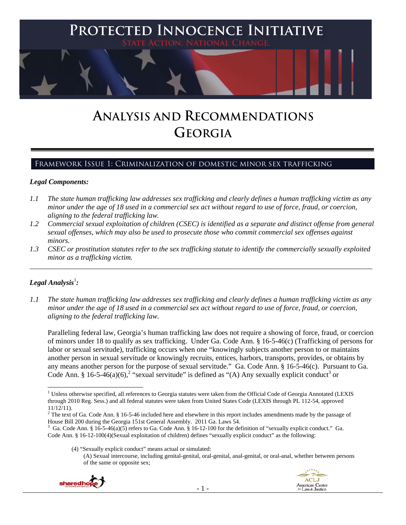

# **ANALYSIS AND RECOMMENDATIONS GEORGIA**

# Framework Issue 1: Criminalization of domestic minor sex trafficking

#### *Legal Components:*

- *1.1 The state human trafficking law addresses sex trafficking and clearly defines a human trafficking victim as any minor under the age of 18 used in a commercial sex act without regard to use of force, fraud, or coercion, aligning to the federal trafficking law.*
- *1.2 Commercial sexual exploitation of children (CSEC) is identified as a separate and distinct offense from general sexual offenses, which may also be used to prosecute those who commit commercial sex offenses against minors.*
- *1.3 CSEC or prostitution statutes refer to the sex trafficking statute to identify the commercially sexually exploited minor as a trafficking victim.*  \_\_\_\_\_\_\_\_\_\_\_\_\_\_\_\_\_\_\_\_\_\_\_\_\_\_\_\_\_\_\_\_\_\_\_\_\_\_\_\_\_\_\_\_\_\_\_\_\_\_\_\_\_\_\_\_\_\_\_\_\_\_\_\_\_\_\_\_\_\_\_\_\_\_\_\_\_\_\_\_\_\_\_\_\_\_\_\_\_\_\_\_\_\_

# $\bm{\mathit{Legal\, Analysis^{\text{!}}:}}$

*1.1 The state human trafficking law addresses sex trafficking and clearly defines a human trafficking victim as any minor under the age of 18 used in a commercial sex act without regard to use of force, fraud, or coercion, aligning to the federal trafficking law.*

Paralleling federal law, Georgia's human trafficking law does not require a showing of force, fraud, or coercion of minors under 18 to qualify as sex trafficking. Under Ga. Code Ann. § 16-5-46(c) (Trafficking of persons for labor or sexual servitude), trafficking occurs when one "knowingly subjects another person to or maintains another person in sexual servitude or knowingly recruits, entices, harbors, transports, provides, or obtains by any means another person for the purpose of sexual servitude." Ga. Code Ann. § 16-5-46(c). Pursuant to Ga. Code Ann. § 16-5-46(a)(6),<sup>2</sup> "sexual servitude" is defined as "(A) Any sexually explicit conduct<sup>3</sup> or

<sup>(4) &</sup>quot;Sexually explicit conduct" means actual or simulated: (A) Sexual intercourse, including genital-genital, oral-genital, anal-genital, or oral-anal, whether between persons of the same or opposite sex;





 <sup>1</sup> Unless otherwise specified, all references to Georgia statutes were taken from the Official Code of Georgia Annotated (LEXIS through 2010 Reg. Sess.) and all federal statutes were taken from United States Code (LEXIS through PL 112-54, approved 11/12/11).

 $2^2$  The text of Ga. Code Ann. § 16-5-46 included here and elsewhere in this report includes amendments made by the passage of House Bill 200 during the Georgia 151st General Assembly. 2011 Ga. Laws 54. 3

Ga. Code Ann. § 16-5-46(a)(5) refers to Ga. Code Ann. § 16-12-100 for the definition of "sexually explicit conduct." Ga. Code Ann. § 16-12-100(4)(Sexual exploitation of children) defines "sexually explicit conduct" as the following: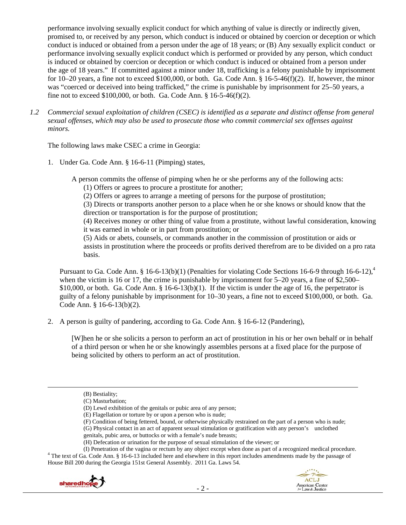performance involving sexually explicit conduct for which anything of value is directly or indirectly given, promised to, or received by any person, which conduct is induced or obtained by coercion or deception or which conduct is induced or obtained from a person under the age of 18 years; or (B) Any sexually explicit conduct or performance involving sexually explicit conduct which is performed or provided by any person, which conduct is induced or obtained by coercion or deception or which conduct is induced or obtained from a person under the age of 18 years." If committed against a minor under 18, trafficking is a felony punishable by imprisonment for  $10-20$  years, a fine not to exceed \$100,000, or both. Ga. Code Ann. §  $16-5-46(f)(2)$ . If, however, the minor was "coerced or deceived into being trafficked," the crime is punishable by imprisonment for 25–50 years, a fine not to exceed \$100,000, or both. Ga. Code Ann. § 16-5-46(f)(2).

*1.2 Commercial sexual exploitation of children (CSEC) is identified as a separate and distinct offense from general sexual offenses, which may also be used to prosecute those who commit commercial sex offenses against minors.*

The following laws make CSEC a crime in Georgia:

1. Under Ga. Code Ann. § 16-6-11 (Pimping) states,

A person commits the offense of pimping when he or she performs any of the following acts:

(1) Offers or agrees to procure a prostitute for another;

(2) Offers or agrees to arrange a meeting of persons for the purpose of prostitution;

(3) Directs or transports another person to a place when he or she knows or should know that the direction or transportation is for the purpose of prostitution;

(4) Receives money or other thing of value from a prostitute, without lawful consideration, knowing it was earned in whole or in part from prostitution; or

(5) Aids or abets, counsels, or commands another in the commission of prostitution or aids or assists in prostitution where the proceeds or profits derived therefrom are to be divided on a pro rata basis.

Pursuant to Ga. Code Ann. § 16-6-13(b)(1) (Penalties for violating Code Sections 16-6-9 through 16-6-12),<sup>4</sup> when the victim is 16 or 17, the crime is punishable by imprisonment for 5–20 years, a fine of \$2,500–  $$10,000$ , or both. Ga. Code Ann.  $§$  16-6-13(b)(1). If the victim is under the age of 16, the perpetrator is guilty of a felony punishable by imprisonment for 10–30 years, a fine not to exceed \$100,000, or both. Ga. Code Ann. § 16-6-13(b)(2).

2. A person is guilty of pandering, according to Ga. Code Ann. § 16-6-12 (Pandering),

[W]hen he or she solicits a person to perform an act of prostitution in his or her own behalf or in behalf of a third person or when he or she knowingly assembles persons at a fixed place for the purpose of being solicited by others to perform an act of prostitution.

(B) Bestiality;

<u> Andrewski politika (za obrazu pod predsjednika u predsjednika u predsjednika u predsjednika (za obrazu pod p</u>



<sup>(</sup>C) Masturbation;

<sup>(</sup>D) Lewd exhibition of the genitals or pubic area of any person;

<sup>(</sup>E) Flagellation or torture by or upon a person who is nude;

<sup>(</sup>F) Condition of being fettered, bound, or otherwise physically restrained on the part of a person who is nude;

<sup>(</sup>G) Physical contact in an act of apparent sexual stimulation or gratification with any person's unclothed genitals, pubic area, or buttocks or with a female's nude breasts;

<sup>(</sup>H) Defecation or urination for the purpose of sexual stimulation of the viewer; or

<sup>(</sup>I) Penetration of the vagina or rectum by any object except when done as part of a recognized medical procedure. 4 <sup>4</sup> The text of Ga. Code Ann. § 16-6-13 included here and elsewhere in this report includes amendments made by the passage of House Bill 200 during the Georgia 151st General Assembly. 2011 Ga. Laws 54.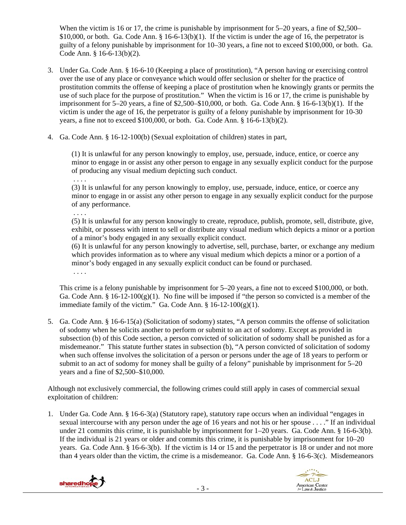When the victim is 16 or 17, the crime is punishable by imprisonment for 5–20 years, a fine of \$2,500– \$10,000, or both. Ga. Code Ann.  $\S$  16-6-13(b)(1). If the victim is under the age of 16, the perpetrator is guilty of a felony punishable by imprisonment for 10–30 years, a fine not to exceed \$100,000, or both. Ga. Code Ann. § 16-6-13(b)(2).

- 3. Under Ga. Code Ann. § 16-6-10 (Keeping a place of prostitution), "A person having or exercising control over the use of any place or conveyance which would offer seclusion or shelter for the practice of prostitution commits the offense of keeping a place of prostitution when he knowingly grants or permits the use of such place for the purpose of prostitution." When the victim is 16 or 17, the crime is punishable by imprisonment for  $5-20$  years, a fine of \$2,500–\$10,000, or both. Ga. Code Ann. § 16-6-13(b)(1). If the victim is under the age of 16, the perpetrator is guilty of a felony punishable by imprisonment for 10-30 years, a fine not to exceed \$100,000, or both. Ga. Code Ann. § 16-6-13(b)(2).
- 4. Ga. Code Ann. § 16-12-100(b) (Sexual exploitation of children) states in part,

(1) It is unlawful for any person knowingly to employ, use, persuade, induce, entice, or coerce any minor to engage in or assist any other person to engage in any sexually explicit conduct for the purpose of producing any visual medium depicting such conduct.

. . . .

(3) It is unlawful for any person knowingly to employ, use, persuade, induce, entice, or coerce any minor to engage in or assist any other person to engage in any sexually explicit conduct for the purpose of any performance.

. . . .

(5) It is unlawful for any person knowingly to create, reproduce, publish, promote, sell, distribute, give, exhibit, or possess with intent to sell or distribute any visual medium which depicts a minor or a portion of a minor's body engaged in any sexually explicit conduct.

(6) It is unlawful for any person knowingly to advertise, sell, purchase, barter, or exchange any medium which provides information as to where any visual medium which depicts a minor or a portion of a minor's body engaged in any sexually explicit conduct can be found or purchased.

. . . .

This crime is a felony punishable by imprisonment for 5–20 years, a fine not to exceed \$100,000, or both. Ga. Code Ann. § 16-12-100(g)(1). No fine will be imposed if "the person so convicted is a member of the immediate family of the victim." Ga. Code Ann.  $\S 16-12-100(g)(1)$ .

5. Ga. Code Ann. § 16-6-15(a) (Solicitation of sodomy) states, "A person commits the offense of solicitation of sodomy when he solicits another to perform or submit to an act of sodomy. Except as provided in subsection (b) of this Code section, a person convicted of solicitation of sodomy shall be punished as for a misdemeanor." This statute further states in subsection (b), "A person convicted of solicitation of sodomy when such offense involves the solicitation of a person or persons under the age of 18 years to perform or submit to an act of sodomy for money shall be guilty of a felony" punishable by imprisonment for 5–20 years and a fine of \$2,500–\$10,000.

Although not exclusively commercial, the following crimes could still apply in cases of commercial sexual exploitation of children:

1. Under Ga. Code Ann. § 16-6-3(a) (Statutory rape), statutory rape occurs when an individual "engages in sexual intercourse with any person under the age of 16 years and not his or her spouse . . . ." If an individual under 21 commits this crime, it is punishable by imprisonment for 1–20 years. Ga. Code Ann. § 16-6-3(b). If the individual is 21 years or older and commits this crime, it is punishable by imprisonment for 10–20 years. Ga. Code Ann. § 16-6-3(b). If the victim is 14 or 15 and the perpetrator is 18 or under and not more than 4 years older than the victim, the crime is a misdemeanor. Ga. Code Ann. § 16-6-3(c). Misdemeanors



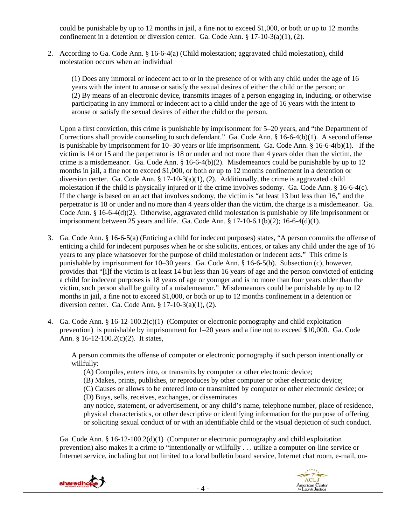could be punishable by up to 12 months in jail, a fine not to exceed \$1,000, or both or up to 12 months confinement in a detention or diversion center. Ga. Code Ann. § 17-10-3(a)(1), (2).

2. According to Ga. Code Ann. § 16-6-4(a) (Child molestation; aggravated child molestation), child molestation occurs when an individual

(1) Does any immoral or indecent act to or in the presence of or with any child under the age of 16 years with the intent to arouse or satisfy the sexual desires of either the child or the person; or (2) By means of an electronic device, transmits images of a person engaging in, inducing, or otherwise participating in any immoral or indecent act to a child under the age of 16 years with the intent to arouse or satisfy the sexual desires of either the child or the person.

Upon a first conviction, this crime is punishable by imprisonment for 5–20 years, and "the Department of Corrections shall provide counseling to such defendant." Ga. Code Ann. § 16-6-4(b)(1). A second offense is punishable by imprisonment for 10–30 years or life imprisonment. Ga. Code Ann. § 16-6-4(b)(1). If the victim is 14 or 15 and the perpetrator is 18 or under and not more than 4 years older than the victim, the crime is a misdemeanor. Ga. Code Ann. § 16-6-4(b)(2). Misdemeanors could be punishable by up to 12 months in jail, a fine not to exceed \$1,000, or both or up to 12 months confinement in a detention or diversion center. Ga. Code Ann.  $\S 17-10-3(a)(1)$ , (2). Additionally, the crime is aggravated child molestation if the child is physically injured or if the crime involves sodomy. Ga. Code Ann. § 16-6-4(c). If the charge is based on an act that involves sodomy, the victim is "at least 13 but less than 16," and the perpetrator is 18 or under and no more than 4 years older than the victim, the charge is a misdemeanor. Ga. Code Ann. § 16-6-4(d)(2). Otherwise, aggravated child molestation is punishable by life imprisonment or imprisonment between 25 years and life. Ga. Code Ann.  $\S 17-10-6.1(b)(2)$ ; 16-6-4(d)(1).

- 3. Ga. Code Ann. § 16-6-5(a) (Enticing a child for indecent purposes) states, "A person commits the offense of enticing a child for indecent purposes when he or she solicits, entices, or takes any child under the age of 16 years to any place whatsoever for the purpose of child molestation or indecent acts." This crime is punishable by imprisonment for 10–30 years. Ga. Code Ann. § 16-6-5(b). Subsection (c), however, provides that "[i]f the victim is at least 14 but less than 16 years of age and the person convicted of enticing a child for indecent purposes is 18 years of age or younger and is no more than four years older than the victim, such person shall be guilty of a misdemeanor." Misdemeanors could be punishable by up to 12 months in jail, a fine not to exceed \$1,000, or both or up to 12 months confinement in a detention or diversion center. Ga. Code Ann. § 17-10-3(a)(1), (2).
- 4. Ga. Code Ann. § 16-12-100.2(c)(1) (Computer or electronic pornography and child exploitation prevention) is punishable by imprisonment for 1–20 years and a fine not to exceed \$10,000. Ga. Code Ann. § 16-12-100.2(c)(2). It states,

A person commits the offense of computer or electronic pornography if such person intentionally or willfully:

(A) Compiles, enters into, or transmits by computer or other electronic device;

(B) Makes, prints, publishes, or reproduces by other computer or other electronic device;

(C) Causes or allows to be entered into or transmitted by computer or other electronic device; or

(D) Buys, sells, receives, exchanges, or disseminates

any notice, statement, or advertisement, or any child's name, telephone number, place of residence, physical characteristics, or other descriptive or identifying information for the purpose of offering or soliciting sexual conduct of or with an identifiable child or the visual depiction of such conduct.

Ga. Code Ann. § 16-12-100.2(d)(1) (Computer or electronic pornography and child exploitation prevention) also makes it a crime to "intentionally or willfully . . . utilize a computer on-line service or Internet service, including but not limited to a local bulletin board service, Internet chat room, e-mail, on-



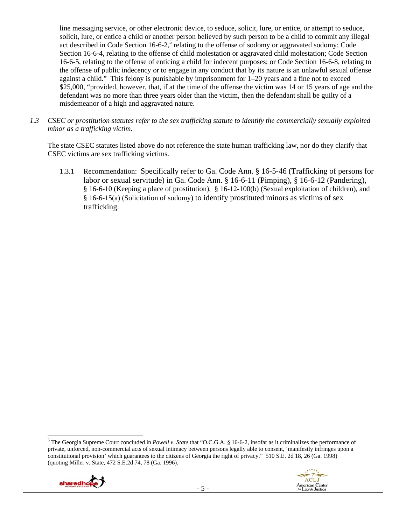line messaging service, or other electronic device, to seduce, solicit, lure, or entice, or attempt to seduce, solicit, lure, or entice a child or another person believed by such person to be a child to commit any illegal act described in Code Section 16-6-2,<sup>5</sup> relating to the offense of sodomy or aggravated sodomy; Code Section 16-6-4, relating to the offense of child molestation or aggravated child molestation; Code Section 16-6-5, relating to the offense of enticing a child for indecent purposes; or Code Section 16-6-8, relating to the offense of public indecency or to engage in any conduct that by its nature is an unlawful sexual offense against a child." This felony is punishable by imprisonment for 1–20 years and a fine not to exceed \$25,000, "provided, however, that, if at the time of the offense the victim was 14 or 15 years of age and the defendant was no more than three years older than the victim, then the defendant shall be guilty of a misdemeanor of a high and aggravated nature.

*1.3 CSEC or prostitution statutes refer to the sex trafficking statute to identify the commercially sexually exploited minor as a trafficking victim.*

The state CSEC statutes listed above do not reference the state human trafficking law, nor do they clarify that CSEC victims are sex trafficking victims.

1.3.1 Recommendation: Specifically refer to Ga. Code Ann. § 16-5-46 (Trafficking of persons for labor or sexual servitude) in Ga. Code Ann. § 16-6-11 (Pimping), § 16-6-12 (Pandering), § 16-6-10 (Keeping a place of prostitution), § 16-12-100(b) (Sexual exploitation of children), and § 16-6-15(a) (Solicitation of sodomy) to identify prostituted minors as victims of sex trafficking.

<sup>5</sup> The Georgia Supreme Court concluded in *Powell v. State* that "O.C.G.A. § 16-6-2, insofar as it criminalizes the performance of private, unforced, non-commercial acts of sexual intimacy between persons legally able to consent, 'manifestly infringes upon a constitutional provision' which guarantees to the citizens of Georgia the right of privacy." 510 S.E. 2d 18, 26 (Ga. 1998) (quoting Miller v. State, 472 S.E.2d 74, 78 (Ga. 1996).



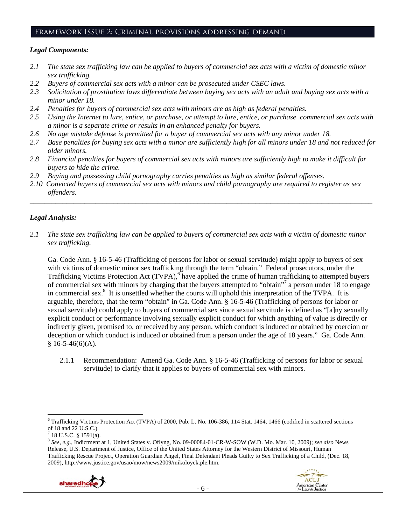#### Framework Issue 2: Criminal provisions addressing demand

#### *Legal Components:*

- *2.1 The state sex trafficking law can be applied to buyers of commercial sex acts with a victim of domestic minor sex trafficking.*
- *2.2 Buyers of commercial sex acts with a minor can be prosecuted under CSEC laws.*
- *2.3 Solicitation of prostitution laws differentiate between buying sex acts with an adult and buying sex acts with a minor under 18.*
- *2.4 Penalties for buyers of commercial sex acts with minors are as high as federal penalties.*
- *2.5 Using the Internet to lure, entice, or purchase, or attempt to lure, entice, or purchase commercial sex acts with a minor is a separate crime or results in an enhanced penalty for buyers.*
- *2.6 No age mistake defense is permitted for a buyer of commercial sex acts with any minor under 18.*
- *2.7 Base penalties for buying sex acts with a minor are sufficiently high for all minors under 18 and not reduced for older minors.*
- *2.8 Financial penalties for buyers of commercial sex acts with minors are sufficiently high to make it difficult for buyers to hide the crime.*
- *2.9 Buying and possessing child pornography carries penalties as high as similar federal offenses.*
- *2.10 Convicted buyers of commercial sex acts with minors and child pornography are required to register as sex offenders.*

\_\_\_\_\_\_\_\_\_\_\_\_\_\_\_\_\_\_\_\_\_\_\_\_\_\_\_\_\_\_\_\_\_\_\_\_\_\_\_\_\_\_\_\_\_\_\_\_\_\_\_\_\_\_\_\_\_\_\_\_\_\_\_\_\_\_\_\_\_\_\_\_\_\_\_\_\_\_\_\_\_\_\_\_\_\_\_\_\_\_\_\_\_\_

# *Legal Analysis:*

*2.1 The state sex trafficking law can be applied to buyers of commercial sex acts with a victim of domestic minor sex trafficking.* 

Ga. Code Ann. § 16-5-46 (Trafficking of persons for labor or sexual servitude) might apply to buyers of sex with victims of domestic minor sex trafficking through the term "obtain." Federal prosecutors, under the Trafficking Victims Protection Act (TVPA),<sup>6</sup> have applied the crime of human trafficking to attempted buyers of commercial sex with minors by charging that the buyers attempted to "obtain"<sup>7</sup> a person under 18 to engage in commercial sex.<sup>8</sup> It is unsettled whether the courts will uphold this interpretation of the TVPA. It is arguable, therefore, that the term "obtain" in Ga. Code Ann. § 16-5-46 (Trafficking of persons for labor or sexual servitude) could apply to buyers of commercial sex since sexual servitude is defined as "[a]ny sexually explicit conduct or performance involving sexually explicit conduct for which anything of value is directly or indirectly given, promised to, or received by any person, which conduct is induced or obtained by coercion or deception or which conduct is induced or obtained from a person under the age of 18 years." Ga. Code Ann.  $§ 16-5-46(6)(A).$ 

2.1.1 Recommendation: Amend Ga. Code Ann. § 16-5-46 (Trafficking of persons for labor or sexual servitude) to clarify that it applies to buyers of commercial sex with minors.

<sup>8</sup> *See, e.g*., Indictment at 1, United States v. Oflyng, No. 09-00084-01-CR-W-SOW (W.D. Mo. Mar. 10, 2009); *see also* News Release, U.S. Department of Justice, Office of the United States Attorney for the Western District of Missouri, Human Trafficking Rescue Project, Operation Guardian Angel, Final Defendant Pleads Guilty to Sex Trafficking of a Child, (Dec. 18, 2009), http://www.justice.gov/usao/mow/news2009/mikoloyck.ple.htm.



 <sup>6</sup> Trafficking Victims Protection Act (TVPA) of 2000, Pub. L. No. 106-386, 114 Stat. 1464, 1466 (codified in scattered sections of 18 and 22 U.S.C.).

 $7$  18 U.S.C. § 1591(a).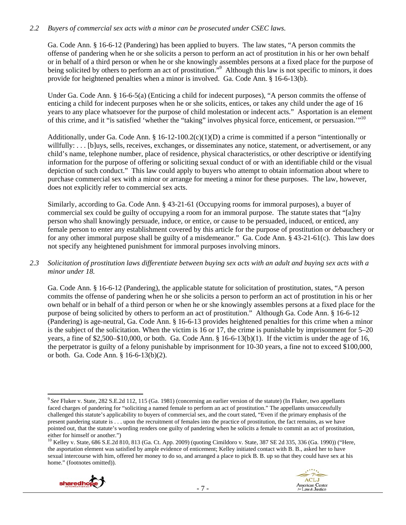## *2.2 Buyers of commercial sex acts with a minor can be prosecuted under CSEC laws.*

Ga. Code Ann. § 16-6-12 (Pandering) has been applied to buyers. The law states, "A person commits the offense of pandering when he or she solicits a person to perform an act of prostitution in his or her own behalf or in behalf of a third person or when he or she knowingly assembles persons at a fixed place for the purpose of being solicited by others to perform an act of prostitution."<sup>9</sup> Although this law is not specific to minors, it does provide for heightened penalties when a minor is involved. Ga. Code Ann. § 16-6-13(b).

Under Ga. Code Ann. § 16-6-5(a) (Enticing a child for indecent purposes), "A person commits the offense of enticing a child for indecent purposes when he or she solicits, entices, or takes any child under the age of 16 years to any place whatsoever for the purpose of child molestation or indecent acts." Asportation is an element of this crime, and it "is satisfied 'whether the "taking" involves physical force, enticement, or persuasion.'"10

Additionally, under Ga. Code Ann. §  $16-12-100.2(c)(1)(D)$  a crime is committed if a person "intentionally or willfully: . . . [b]uys, sells, receives, exchanges, or disseminates any notice, statement, or advertisement, or any child's name, telephone number, place of residence, physical characteristics, or other descriptive or identifying information for the purpose of offering or soliciting sexual conduct of or with an identifiable child or the visual depiction of such conduct." This law could apply to buyers who attempt to obtain information about where to purchase commercial sex with a minor or arrange for meeting a minor for these purposes. The law, however, does not explicitly refer to commercial sex acts.

Similarly, according to Ga. Code Ann. § 43-21-61 (Occupying rooms for immoral purposes), a buyer of commercial sex could be guilty of occupying a room for an immoral purpose. The statute states that "[a]ny person who shall knowingly persuade, induce, or entice, or cause to be persuaded, induced, or enticed, any female person to enter any establishment covered by this article for the purpose of prostitution or debauchery or for any other immoral purpose shall be guilty of a misdemeanor." Ga. Code Ann. § 43-21-61(c). This law does not specify any heightened punishment for immoral purposes involving minors.

#### *2.3 Solicitation of prostitution laws differentiate between buying sex acts with an adult and buying sex acts with a minor under 18.*

Ga. Code Ann. § 16-6-12 (Pandering), the applicable statute for solicitation of prostitution, states, "A person commits the offense of pandering when he or she solicits a person to perform an act of prostitution in his or her own behalf or in behalf of a third person or when he or she knowingly assembles persons at a fixed place for the purpose of being solicited by others to perform an act of prostitution." Although Ga. Code Ann. § 16-6-12 (Pandering) is age-neutral, Ga. Code Ann. § 16-6-13 provides heightened penalties for this crime when a minor is the subject of the solicitation. When the victim is 16 or 17, the crime is punishable by imprisonment for 5–20 years, a fine of \$2,500–\$10,000, or both. Ga. Code Ann. § 16-6-13(b)(1). If the victim is under the age of 16, the perpetrator is guilty of a felony punishable by imprisonment for 10-30 years, a fine not to exceed \$100,000, or both. Ga. Code Ann. § 16-6-13(b)(2).

<sup>&</sup>lt;sup>10</sup> Kelley v. State, 686 S.E.2d 810, 813 (Ga. Ct. App. 2009) (quoting Cimildoro v. State, 387 SE 2d 335, 336 (Ga. 1990)) ("Here, the asportation element was satisfied by ample evidence of enticement; Kelley initiated contact with B. B., asked her to have sexual intercourse with him, offered her money to do so, and arranged a place to pick B. B. up so that they could have sex at his home." (footnotes omitted)).





 <sup>9</sup>*See* Fluker v. State, 282 S.E.2d 112, 115 (Ga. 1981) (concerning an earlier version of the statute) (In Fluker, two appellants faced charges of pandering for "soliciting a named female to perform an act of prostitution." The appellants unsuccessfully challenged this statute's applicability to buyers of commercial sex, and the court stated, "Even if the primary emphasis of the present pandering statute is . . . upon the recruitment of females into the practice of prostitution, the fact remains, as we have pointed out, that the statute's wording renders one guilty of pandering when he solicits a female to commit an act of prostitution, either for himself or another.")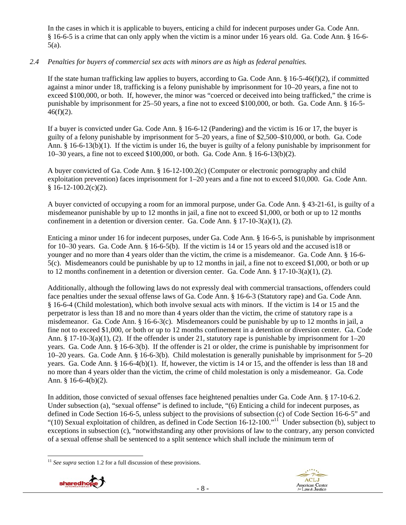In the cases in which it is applicable to buyers, enticing a child for indecent purposes under Ga. Code Ann. § 16-6-5 is a crime that can only apply when the victim is a minor under 16 years old. Ga. Code Ann. § 16-6- 5(a).

# *2.4 Penalties for buyers of commercial sex acts with minors are as high as federal penalties.*

If the state human trafficking law applies to buyers, according to Ga. Code Ann. § 16-5-46(f)(2), if committed against a minor under 18, trafficking is a felony punishable by imprisonment for 10–20 years, a fine not to exceed \$100,000, or both. If, however, the minor was "coerced or deceived into being trafficked," the crime is punishable by imprisonment for 25–50 years, a fine not to exceed \$100,000, or both. Ga. Code Ann. § 16-5-  $46(f)(2)$ .

If a buyer is convicted under Ga. Code Ann. § 16-6-12 (Pandering) and the victim is 16 or 17, the buyer is guilty of a felony punishable by imprisonment for 5–20 years, a fine of \$2,500–\$10,000, or both. Ga. Code Ann. § 16-6-13(b)(1). If the victim is under 16, the buyer is guilty of a felony punishable by imprisonment for 10–30 years, a fine not to exceed \$100,000, or both. Ga. Code Ann. § 16-6-13(b)(2).

A buyer convicted of Ga. Code Ann. § 16-12-100.2(c) (Computer or electronic pornography and child exploitation prevention) faces imprisonment for 1–20 years and a fine not to exceed \$10,000. Ga. Code Ann.  $$16-12-100.2(c)(2)$ .

A buyer convicted of occupying a room for an immoral purpose, under Ga. Code Ann. § 43-21-61, is guilty of a misdemeanor punishable by up to 12 months in jail, a fine not to exceed \$1,000, or both or up to 12 months confinement in a detention or diversion center. Ga. Code Ann. § 17-10-3(a)(1), (2).

Enticing a minor under 16 for indecent purposes, under Ga. Code Ann. § 16-6-5, is punishable by imprisonment for 10–30 years. Ga. Code Ann. § 16-6-5(b). If the victim is 14 or 15 years old and the accused is18 or younger and no more than 4 years older than the victim, the crime is a misdemeanor. Ga. Code Ann. § 16-6- 5(c). Misdemeanors could be punishable by up to 12 months in jail, a fine not to exceed \$1,000, or both or up to 12 months confinement in a detention or diversion center. Ga. Code Ann.  $\S 17$ -10-3(a)(1), (2).

Additionally, although the following laws do not expressly deal with commercial transactions, offenders could face penalties under the sexual offense laws of Ga. Code Ann. § 16-6-3 (Statutory rape) and Ga. Code Ann. § 16-6-4 (Child molestation), which both involve sexual acts with minors. If the victim is 14 or 15 and the perpetrator is less than 18 and no more than 4 years older than the victim, the crime of statutory rape is a misdemeanor. Ga. Code Ann. § 16-6-3(c). Misdemeanors could be punishable by up to 12 months in jail, a fine not to exceed \$1,000, or both or up to 12 months confinement in a detention or diversion center. Ga. Code Ann. § 17-10-3(a)(1), (2). If the offender is under 21, statutory rape is punishable by imprisonment for  $1-20$ years. Ga. Code Ann. § 16-6-3(b). If the offender is 21 or older, the crime is punishable by imprisonment for 10–20 years. Ga. Code Ann. § 16-6-3(b). Child molestation is generally punishable by imprisonment for 5–20 years. Ga. Code Ann. § 16-6-4(b)(1). If, however, the victim is 14 or 15, and the offender is less than 18 and no more than 4 years older than the victim, the crime of child molestation is only a misdemeanor. Ga. Code Ann. § 16-6-4(b)(2).

In addition, those convicted of sexual offenses face heightened penalties under Ga. Code Ann. § 17-10-6.2. Under subsection (a), "sexual offense" is defined to include, "(6) Enticing a child for indecent purposes, as defined in Code Section 16-6-5, unless subject to the provisions of subsection (c) of Code Section 16-6-5" and "(10) Sexual exploitation of children, as defined in Code Section 16-12-100."11 Under subsection (b), subject to exceptions in subsection (c), "notwithstanding any other provisions of law to the contrary, any person convicted of a sexual offense shall be sentenced to a split sentence which shall include the minimum term of

 <sup>11</sup> *See supra* section 1.2 for a full discussion of these provisions.



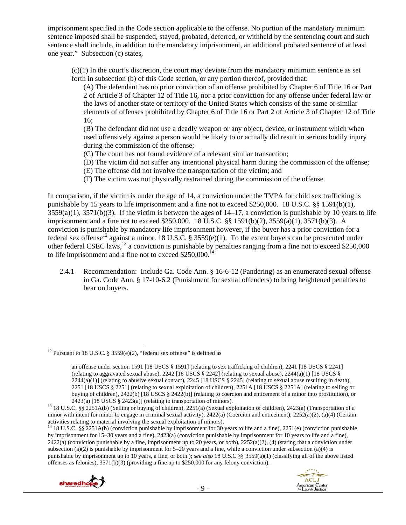imprisonment specified in the Code section applicable to the offense. No portion of the mandatory minimum sentence imposed shall be suspended, stayed, probated, deferred, or withheld by the sentencing court and such sentence shall include, in addition to the mandatory imprisonment, an additional probated sentence of at least one year." Subsection (c) states,

 $(c)(1)$  In the court's discretion, the court may deviate from the mandatory minimum sentence as set forth in subsection (b) of this Code section, or any portion thereof, provided that:

(A) The defendant has no prior conviction of an offense prohibited by Chapter 6 of Title 16 or Part 2 of Article 3 of Chapter 12 of Title 16, nor a prior conviction for any offense under federal law or the laws of another state or territory of the United States which consists of the same or similar elements of offenses prohibited by Chapter 6 of Title 16 or Part 2 of Article 3 of Chapter 12 of Title 16;

(B) The defendant did not use a deadly weapon or any object, device, or instrument which when used offensively against a person would be likely to or actually did result in serious bodily injury during the commission of the offense;

(C) The court has not found evidence of a relevant similar transaction;

(D) The victim did not suffer any intentional physical harm during the commission of the offense;

(E) The offense did not involve the transportation of the victim; and

(F) The victim was not physically restrained during the commission of the offense.

In comparison, if the victim is under the age of 14, a conviction under the TVPA for child sex trafficking is punishable by 15 years to life imprisonment and a fine not to exceed \$250,000. 18 U.S.C. §§ 1591(b)(1),  $3559(a)(1)$ ,  $3571(b)(3)$ . If the victim is between the ages of  $14-17$ , a conviction is punishable by 10 years to life imprisonment and a fine not to exceed \$250,000. 18 U.S.C. §§ 1591(b)(2), 3559(a)(1), 3571(b)(3). A conviction is punishable by mandatory life imprisonment however, if the buyer has a prior conviction for a federal sex offense<sup>12</sup> against a minor. 18 U.S.C. § 3559(e)(1). To the extent buyers can be prosecuted under other federal CSEC laws,<sup>13</sup> a conviction is punishable by penalties ranging from a fine not to exceed \$250,000 to life imprisonment and a fine not to exceed  $$250,000$ <sup>14</sup>

2.4.1 Recommendation: Include Ga. Code Ann. § 16-6-12 (Pandering) as an enumerated sexual offense in Ga. Code Ann. § 17-10-6.2 (Punishment for sexual offenders) to bring heightened penalties to bear on buyers.

<sup>&</sup>lt;sup>14</sup> 18 U.S.C. §§ 2251A(b) (conviction punishable by imprisonment for 30 years to life and a fine), 2251(e) (conviction punishable by imprisonment for 15–30 years and a fine), 2423(a) (conviction punishable by imprisonment for 10 years to life and a fine), 2422(a) (conviction punishable by a fine, imprisonment up to 20 years, or both), 2252(a)(2), (4) (stating that a conviction under subsection (a)(2) is punishable by imprisonment for  $5-20$  years and a fine, while a conviction under subsection (a)(4) is punishable by imprisonment up to 10 years, a fine, or both.); *see also* 18 U.S.C §§ 3559(a)(1) (classifying all of the above listed offenses as felonies),  $3571(b)(3)$  (providing a fine up to \$250,000 for any felony conviction).



 <sup>12</sup> Pursuant to 18 U.S.C. § 3559(e)(2), "federal sex offense" is defined as

an offense under section 1591 [18 USCS § 1591] (relating to sex trafficking of children), 2241 [18 USCS § 2241] (relating to aggravated sexual abuse), 2242 [18 USCS § 2242] (relating to sexual abuse), 2244(a)(1) [18 USCS §  $2244(a)(1)$ ] (relating to abusive sexual contact), 2245 [18 USCS § 2245] (relating to sexual abuse resulting in death), 2251 [18 USCS § 2251] (relating to sexual exploitation of children), 2251A [18 USCS § 2251A] (relating to selling or buying of children), 2422(b) [18 USCS § 2422(b)] (relating to coercion and enticement of a minor into prostitution), or 2423(a) [18 USCS § 2423(a)] (relating to transportation of minors).

<sup>&</sup>lt;sup>13</sup> 18 U.S.C. §§ 2251A(b) (Selling or buying of children), 2251(a) (Sexual exploitation of children), 2423(a) (Transportation of a minor with intent for minor to engage in criminal sexual activity),  $2422(a)$  (Coercion and enticement),  $2252(a)(2)$ ,  $(a)(4)$  (Certain activities relating to material involving the sexual exploitation of minors).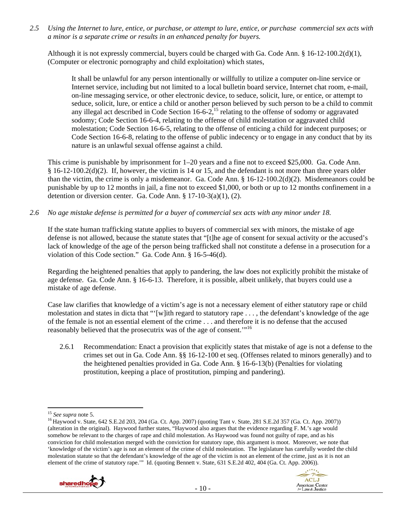*2.5 Using the Internet to lure, entice, or purchase, or attempt to lure, entice, or purchase commercial sex acts with a minor is a separate crime or results in an enhanced penalty for buyers.* 

Although it is not expressly commercial, buyers could be charged with Ga. Code Ann. § 16-12-100.2(d)(1), (Computer or electronic pornography and child exploitation) which states,

It shall be unlawful for any person intentionally or willfully to utilize a computer on-line service or Internet service, including but not limited to a local bulletin board service, Internet chat room, e-mail, on-line messaging service, or other electronic device, to seduce, solicit, lure, or entice, or attempt to seduce, solicit, lure, or entice a child or another person believed by such person to be a child to commit any illegal act described in Code Section  $16-6-2$ ,<sup>15</sup> relating to the offense of sodomy or aggravated sodomy; Code Section 16-6-4, relating to the offense of child molestation or aggravated child molestation; Code Section 16-6-5, relating to the offense of enticing a child for indecent purposes; or Code Section 16-6-8, relating to the offense of public indecency or to engage in any conduct that by its nature is an unlawful sexual offense against a child.

This crime is punishable by imprisonment for  $1-20$  years and a fine not to exceed \$25,000. Ga. Code Ann. § 16-12-100.2(d)(2). If, however, the victim is 14 or 15, and the defendant is not more than three years older than the victim, the crime is only a misdemeanor. Ga. Code Ann. § 16-12-100.2(d)(2). Misdemeanors could be punishable by up to 12 months in jail, a fine not to exceed \$1,000, or both or up to 12 months confinement in a detention or diversion center. Ga. Code Ann. § 17-10-3(a)(1), (2).

*2.6 No age mistake defense is permitted for a buyer of commercial sex acts with any minor under 18.* 

If the state human trafficking statute applies to buyers of commercial sex with minors, the mistake of age defense is not allowed, because the statute states that "[t]he age of consent for sexual activity or the accused's lack of knowledge of the age of the person being trafficked shall not constitute a defense in a prosecution for a violation of this Code section." Ga. Code Ann. § 16-5-46(d).

Regarding the heightened penalties that apply to pandering, the law does not explicitly prohibit the mistake of age defense. Ga. Code Ann. § 16-6-13. Therefore, it is possible, albeit unlikely, that buyers could use a mistake of age defense.

Case law clarifies that knowledge of a victim's age is not a necessary element of either statutory rape or child molestation and states in dicta that "'[w]ith regard to statutory rape . . . , the defendant's knowledge of the age of the female is not an essential element of the crime . . . and therefore it is no defense that the accused reasonably believed that the prosecutrix was of the age of consent.'"16

2.6.1 Recommendation: Enact a provision that explicitly states that mistake of age is not a defense to the crimes set out in Ga. Code Ann. §§ 16-12-100 et seq. (Offenses related to minors generally) and to the heightened penalties provided in Ga. Code Ann. § 16-6-13(b) (Penalties for violating prostitution, keeping a place of prostitution, pimping and pandering).

<sup>&</sup>lt;sup>15</sup> *See supra* note 5.<br><sup>16</sup> Haywood v. State, 642 S.E.2d 203, 204 (Ga. Ct. App. 2007) (quoting Tant v. State, 281 S.E.2d 357 (Ga. Ct. App. 2007)) (alteration in the original). Haywood further states, "Haywood also argues that the evidence regarding F. M.'s age would somehow be relevant to the charges of rape and child molestation. As Haywood was found not guilty of rape, and as his conviction for child molestation merged with the conviction for statutory rape, this argument is moot. Moreover, we note that 'knowledge of the victim's age is not an element of the crime of child molestation. The legislature has carefully worded the child molestation statute so that the defendant's knowledge of the age of the victim is not an element of the crime, just as it is not an element of the crime of statutory rape.'" Id. (quoting Bennett v. State, 631 S.E.2d 402, 404 (Ga. Ct. App. 2006)).



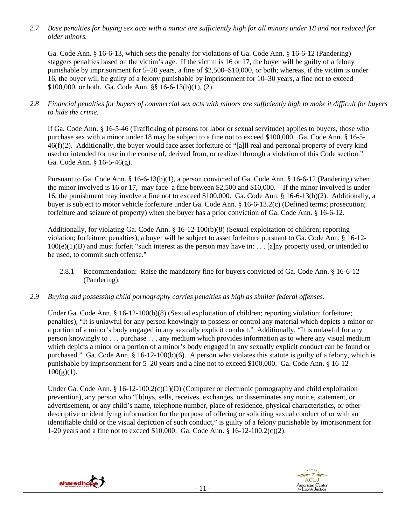*2.7 Base penalties for buying sex acts with a minor are sufficiently high for all minors under 18 and not reduced for older minors.* 

Ga. Code Ann. § 16-6-13, which sets the penalty for violations of Ga. Code Ann. § 16-6-12 (Pandering) staggers penalties based on the victim's age. If the victim is 16 or 17, the buyer will be guilty of a felony punishable by imprisonment for 5–20 years, a fine of \$2,500–\$10,000, or both; whereas, if the victim is under 16, the buyer will be guilty of a felony punishable by imprisonment for 10–30 years, a fine not to exceed \$100,000, or both. Ga. Code Ann. §§ 16-6-13(b)(1), (2).

*2.8 Financial penalties for buyers of commercial sex acts with minors are sufficiently high to make it difficult for buyers to hide the crime.* 

If Ga. Code Ann. § 16-5-46 (Trafficking of persons for labor or sexual servitude) applies to buyers, those who purchase sex with a minor under 18 may be subject to a fine not to exceed \$100,000. Ga. Code Ann. § 16-5- 46(f)(2). Additionally, the buyer would face asset forfeiture of "[a]ll real and personal property of every kind used or intended for use in the course of, derived from, or realized through a violation of this Code section." Ga. Code Ann. § 16-5-46(g).

Pursuant to Ga. Code Ann. § 16-6-13(b)(1), a person convicted of Ga. Code Ann. § 16-6-12 (Pandering) when the minor involved is 16 or 17, may face a fine between \$2,500 and \$10,000. If the minor involved is under 16, the punishment may involve a fine not to exceed \$100,000. Ga. Code Ann. § 16-6-13(b)(2). Additionally, a buyer is subject to motor vehicle forfeiture under Ga. Code Ann. § 16-6-13.2(c) (Defined terms; prosecution; forfeiture and seizure of property) when the buyer has a prior conviction of Ga. Code Ann. § 16-6-12.

Additionally, for violating Ga. Code Ann. § 16-12-100(b)(8) (Sexual exploitation of children; reporting violation; forfeiture; penalties), a buyer will be subject to asset forfeiture pursuant to Ga. Code Ann. § 16-12-  $100(e)(1)(B)$  and must forfeit "such interest as the person may have in: . . . [a]ny property used, or intended to be used, to commit such offense."

- 2.8.1 Recommendation: Raise the mandatory fine for buyers convicted of Ga. Code Ann. § 16-6-12 (Pandering).
- *2.9 Buying and possessing child pornography carries penalties as high as similar federal offenses.*

Under Ga. Code Ann. § 16-12-100(b)(8) (Sexual exploitation of children; reporting violation; forfeiture; penalties), "It is unlawful for any person knowingly to possess or control any material which depicts a minor or a portion of a minor's body engaged in any sexually explicit conduct." Additionally, "It is unlawful for any person knowingly to . . . purchase . . . any medium which provides information as to where any visual medium which depicts a minor or a portion of a minor's body engaged in any sexually explicit conduct can be found or purchased." Ga. Code Ann. § 16-12-100(b)(6). A person who violates this statute is guilty of a felony, which is punishable by imprisonment for 5–20 years and a fine not to exceed \$100,000. Ga. Code Ann. § 16-12-  $100(g)(1)$ .

Under Ga. Code Ann. § 16-12-100.2(c)(1)(D) (Computer or electronic pornography and child exploitation prevention), any person who "[b]uys, sells, receives, exchanges, or disseminates any notice, statement, or advertisement, or any child's name, telephone number, place of residence, physical characteristics, or other descriptive or identifying information for the purpose of offering or soliciting sexual conduct of or with an identifiable child or the visual depiction of such conduct," is guilty of a felony punishable by imprisonment for 1-20 years and a fine not to exceed \$10,000. Ga. Code Ann. § 16-12-100.2(c)(2).



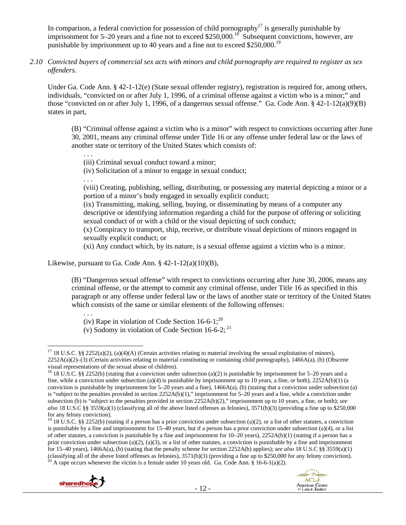In comparison, a federal conviction for possession of child pornography<sup>17</sup> is generally punishable by imprisonment for  $5-20$  years and a fine not to exceed \$250,000.<sup>18</sup> Subsequent convictions, however, are punishable by imprisonment up to 40 years and a fine not to exceed \$250,000.<sup>19</sup>

*2.10 Convicted buyers of commercial sex acts with minors and child pornography are required to register as sex offenders.*

Under Ga. Code Ann. § 42-1-12(e) (State sexual offender registry), registration is required for, among others, individuals, "convicted on or after July 1, 1996, of a criminal offense against a victim who is a minor;" and those "convicted on or after July 1, 1996, of a dangerous sexual offense." Ga. Code Ann. § 42-1-12(a)(9)(B) states in part,

(B) "Criminal offense against a victim who is a minor" with respect to convictions occurring after June 30, 2001, means any criminal offense under Title 16 or any offense under federal law or the laws of another state or territory of the United States which consists of:

. . .

(iii) Criminal sexual conduct toward a minor;

(iv) Solicitation of a minor to engage in sexual conduct;

. . .

(viii) Creating, publishing, selling, distributing, or possessing any material depicting a minor or a portion of a minor's body engaged in sexually explicit conduct;

(ix) Transmitting, making, selling, buying, or disseminating by means of a computer any descriptive or identifying information regarding a child for the purpose of offering or soliciting sexual conduct of or with a child or the visual depicting of such conduct;

(x) Conspiracy to transport, ship, receive, or distribute visual depictions of minors engaged in sexually explicit conduct; or

(xi) Any conduct which, by its nature, is a sexual offense against a victim who is a minor.

Likewise, pursuant to Ga. Code Ann.  $§$  42-1-12(a)(10)(B),

(B) "Dangerous sexual offense" with respect to convictions occurring after June 30, 2006, means any criminal offense, or the attempt to commit any criminal offense, under Title 16 as specified in this paragraph or any offense under federal law or the laws of another state or territory of the United States which consists of the same or similar elements of the following offenses:

. . . (iv) Rape in violation of Code Section  $16-6-1$ ;<sup>20</sup>

(v) Sodomy in violation of Code Section  $16-6-2$ ;  $^{21}$ 

<sup>&</sup>lt;sup>19</sup> 18 U.S.C. §§ 2252(b) (stating if a person has a prior conviction under subsection (a)(2), or a list of other statutes, a conviction is punishable by a fine and imprisonment for  $15-40$  years, but if a person has a prior conviction under subsection (a)(4), or a list of other statutes, a conviction is punishable by a fine and imprisonment for 10–20 years), 2252A(b)(1) (stating if a person has a prior conviction under subsection (a)(2), (a)(3), or a list of other statutes, a conviction is punishable by a fine and imprisonment for 15–40 years), 1466A(a), (b) (stating that the penalty scheme for section 2252A(b) applies); *see also* 18 U.S.C §§ 3559(a)(1) (classifying all of the above listed offenses as felonies), 3571(b)(3) (providing a fine up to \$250,000 for any felony conviction).<br><sup>20</sup> A rape occurs whenever the victim is a female under 10 years old. Ga. Code Ann. § 16





 <sup>17</sup> 18 U.S.C. §§ 2252(a)(2), (a)(4)(A) (Certain activities relating to material involving the sexual exploitation of minors),  $2252A(a)(2)$ –(3) (Certain activities relating to material constituting or containing child pornography), 1466A(a), (b) (Obscene visual representations of the sexual abuse of children).

<sup>&</sup>lt;sup>18</sup> 18 U.S.C. §§ 2252(b) (stating that a conviction under subsection (a)(2) is punishable by imprisonment for 5–20 years and a fine, while a conviction under subsection (a)(4) is punishable by imprisonment up to 10 years, a fine, or both),  $2252A(b)(1)$  (a conviction is punishable by imprisonment for  $5-20$  years and a fine), 1466A(a), (b) (stating that a conviction under subsection (a) is "subject to the penalties provided in section 2252A(b)(1)," imprisonment for 5–20 years and a fine, while a conviction under subsection (b) is "subject to the penalties provided in section 2252A(b)(2)," imprisonment up to 10 years, a fine, or both); *see also* 18 U.S.C §§ 3559(a)(1) (classifying all of the above listed offenses as felonies), 3571(b)(3) (providing a fine up to \$250,000 for any felony conviction).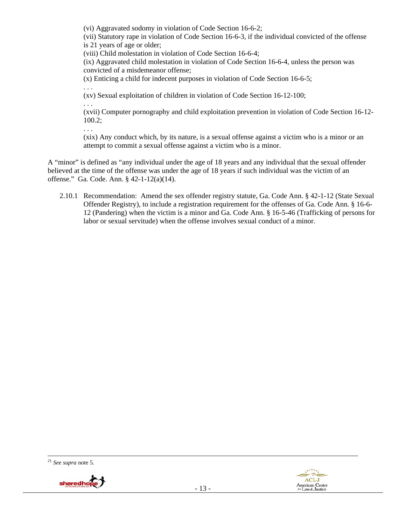(vi) Aggravated sodomy in violation of Code Section 16-6-2;

(vii) Statutory rape in violation of Code Section 16-6-3, if the individual convicted of the offense is 21 years of age or older;

(viii) Child molestation in violation of Code Section 16-6-4;

(ix) Aggravated child molestation in violation of Code Section 16-6-4, unless the person was convicted of a misdemeanor offense;

(x) Enticing a child for indecent purposes in violation of Code Section 16-6-5;

. . . (xv) Sexual exploitation of children in violation of Code Section 16-12-100;

. . .

. . .

(xvii) Computer pornography and child exploitation prevention in violation of Code Section 16-12- 100.2;

(xix) Any conduct which, by its nature, is a sexual offense against a victim who is a minor or an attempt to commit a sexual offense against a victim who is a minor.

A "minor" is defined as "any individual under the age of 18 years and any individual that the sexual offender believed at the time of the offense was under the age of 18 years if such individual was the victim of an offense." Ga. Code. Ann. § 42-1-12(a)(14).

2.10.1 Recommendation: Amend the sex offender registry statute, Ga. Code Ann. § 42-1-12 (State Sexual Offender Registry), to include a registration requirement for the offenses of Ga. Code Ann. § 16-6- 12 (Pandering) when the victim is a minor and Ga. Code Ann. § 16-5-46 (Trafficking of persons for labor or sexual servitude) when the offense involves sexual conduct of a minor.

<sup>21</sup> *See supra* note 5.



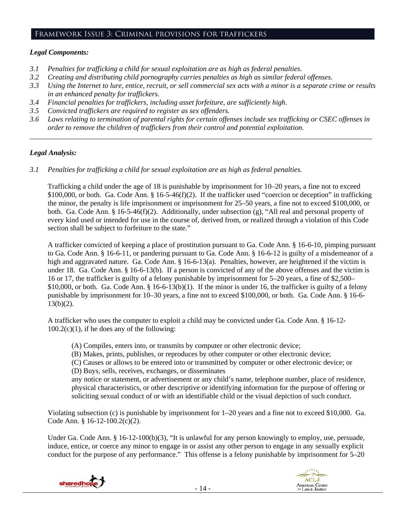#### Framework Issue 3: Criminal provisions for traffickers

## *Legal Components:*

- *3.1 Penalties for trafficking a child for sexual exploitation are as high as federal penalties.*
- *3.2 Creating and distributing child pornography carries penalties as high as similar federal offenses.*
- *3.3 Using the Internet to lure, entice, recruit, or sell commercial sex acts with a minor is a separate crime or results in an enhanced penalty for traffickers.*
- *3.4 Financial penalties for traffickers, including asset forfeiture, are sufficiently high*.
- *3.5 Convicted traffickers are required to register as sex offenders.*
- *3.6 Laws relating to termination of parental rights for certain offenses include sex trafficking or CSEC offenses in order to remove the children of traffickers from their control and potential exploitation. \_\_\_\_\_\_\_\_\_\_\_\_\_\_\_\_\_\_\_\_\_\_\_\_\_\_\_\_\_\_\_\_\_\_\_\_\_\_\_\_\_\_\_\_\_\_\_\_\_\_\_\_\_\_\_\_\_\_\_\_\_\_\_\_\_\_\_\_\_\_\_\_\_\_\_\_\_\_\_\_\_\_\_\_\_\_\_\_\_\_\_\_\_\_*

#### *Legal Analysis:*

*3.1 Penalties for trafficking a child for sexual exploitation are as high as federal penalties.* 

Trafficking a child under the age of 18 is punishable by imprisonment for 10–20 years, a fine not to exceed \$100,000, or both. Ga. Code Ann. § 16-5-46(f)(2). If the trafficker used "coercion or deception" in trafficking the minor, the penalty is life imprisonment or imprisonment for 25–50 years, a fine not to exceed \$100,000, or both. Ga. Code Ann. § 16-5-46(f)(2). Additionally, under subsection (g), "All real and personal property of every kind used or intended for use in the course of, derived from, or realized through a violation of this Code section shall be subject to forfeiture to the state."

A trafficker convicted of keeping a place of prostitution pursuant to Ga. Code Ann. § 16-6-10, pimping pursuant to Ga. Code Ann. § 16-6-11, or pandering pursuant to Ga. Code Ann. § 16-6-12 is guilty of a misdemeanor of a high and aggravated nature. Ga. Code Ann. § 16-6-13(a). Penalties, however, are heightened if the victim is under 18. Ga. Code Ann. § 16-6-13(b). If a person is convicted of any of the above offenses and the victim is 16 or 17, the trafficker is guilty of a felony punishable by imprisonment for 5–20 years, a fine of \$2,500– \$10,000, or both. Ga. Code Ann. § 16-6-13(b)(1). If the minor is under 16, the trafficker is guilty of a felony punishable by imprisonment for 10–30 years, a fine not to exceed \$100,000, or both. Ga. Code Ann. § 16-6-  $13(b)(2)$ .

A trafficker who uses the computer to exploit a child may be convicted under Ga. Code Ann. § 16-12-  $100.2(c)(1)$ , if he does any of the following:

- (A) Compiles, enters into, or transmits by computer or other electronic device;
- (B) Makes, prints, publishes, or reproduces by other computer or other electronic device;
- (C) Causes or allows to be entered into or transmitted by computer or other electronic device; or
- (D) Buys, sells, receives, exchanges, or disseminates

any notice or statement, or advertisement or any child's name, telephone number, place of residence, physical characteristics, or other descriptive or identifying information for the purpose of offering or soliciting sexual conduct of or with an identifiable child or the visual depiction of such conduct.

Violating subsection (c) is punishable by imprisonment for 1–20 years and a fine not to exceed \$10,000. Ga. Code Ann. § 16-12-100.2(c)(2).

Under Ga. Code Ann. § 16-12-100(b)(3), "It is unlawful for any person knowingly to employ, use, persuade, induce, entice, or coerce any minor to engage in or assist any other person to engage in any sexually explicit conduct for the purpose of any performance." This offense is a felony punishable by imprisonment for 5–20



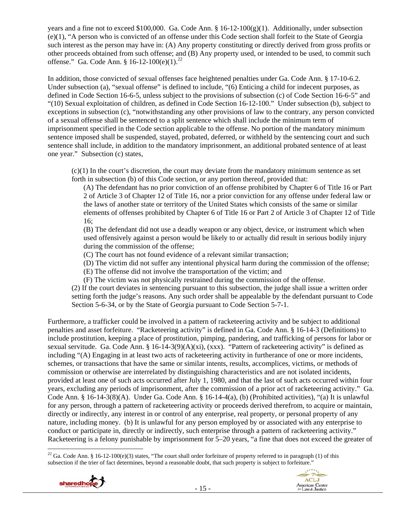years and a fine not to exceed \$100,000. Ga. Code Ann. § 16-12-100(g)(1). Additionally, under subsection (e)(1), "A person who is convicted of an offense under this Code section shall forfeit to the State of Georgia such interest as the person may have in: (A) Any property constituting or directly derived from gross profits or other proceeds obtained from such offense; and (B) Any property used, or intended to be used, to commit such offense." Ga. Code Ann. § 16-12-100(e)(1).<sup>22</sup>

In addition, those convicted of sexual offenses face heightened penalties under Ga. Code Ann. § 17-10-6.2. Under subsection (a), "sexual offense" is defined to include, "(6) Enticing a child for indecent purposes, as defined in Code Section 16-6-5, unless subject to the provisions of subsection (c) of Code Section 16-6-5" and "(10) Sexual exploitation of children, as defined in Code Section 16-12-100." Under subsection (b), subject to exceptions in subsection (c), "notwithstanding any other provisions of law to the contrary, any person convicted of a sexual offense shall be sentenced to a split sentence which shall include the minimum term of imprisonment specified in the Code section applicable to the offense. No portion of the mandatory minimum sentence imposed shall be suspended, stayed, probated, deferred, or withheld by the sentencing court and such sentence shall include, in addition to the mandatory imprisonment, an additional probated sentence of at least one year." Subsection (c) states,

(c)(1) In the court's discretion, the court may deviate from the mandatory minimum sentence as set forth in subsection (b) of this Code section, or any portion thereof, provided that:

(A) The defendant has no prior conviction of an offense prohibited by Chapter 6 of Title 16 or Part 2 of Article 3 of Chapter 12 of Title 16, nor a prior conviction for any offense under federal law or the laws of another state or territory of the United States which consists of the same or similar elements of offenses prohibited by Chapter 6 of Title 16 or Part 2 of Article 3 of Chapter 12 of Title 16;

(B) The defendant did not use a deadly weapon or any object, device, or instrument which when used offensively against a person would be likely to or actually did result in serious bodily injury during the commission of the offense;

(C) The court has not found evidence of a relevant similar transaction;

(D) The victim did not suffer any intentional physical harm during the commission of the offense;

(E) The offense did not involve the transportation of the victim; and

(F) The victim was not physically restrained during the commission of the offense.

(2) If the court deviates in sentencing pursuant to this subsection, the judge shall issue a written order setting forth the judge's reasons. Any such order shall be appealable by the defendant pursuant to Code Section 5-6-34, or by the State of Georgia pursuant to Code Section 5-7-1.

Furthermore, a trafficker could be involved in a pattern of racketeering activity and be subject to additional penalties and asset forfeiture. "Racketeering activity" is defined in Ga. Code Ann. § 16-14-3 (Definitions) to include prostitution, keeping a place of prostitution, pimping, pandering, and trafficking of persons for labor or sexual servitude. Ga. Code Ann. § 16-14-3(9)(A)(xi), (xxx). "Pattern of racketeering activity" is defined as including "(A) Engaging in at least two acts of racketeering activity in furtherance of one or more incidents, schemes, or transactions that have the same or similar intents, results, accomplices, victims, or methods of commission or otherwise are interrelated by distinguishing characteristics and are not isolated incidents, provided at least one of such acts occurred after July 1, 1980, and that the last of such acts occurred within four years, excluding any periods of imprisonment, after the commission of a prior act of racketeering activity." Ga. Code Ann. § 16-14-3(8)(A). Under Ga. Code Ann. § 16-14-4(a), (b) (Prohibited activities), "(a) It is unlawful for any person, through a pattern of racketeering activity or proceeds derived therefrom, to acquire or maintain, directly or indirectly, any interest in or control of any enterprise, real property, or personal property of any nature, including money. (b) It is unlawful for any person employed by or associated with any enterprise to conduct or participate in, directly or indirectly, such enterprise through a pattern of racketeering activity." Racketeering is a felony punishable by imprisonment for 5–20 years, "a fine that does not exceed the greater of

 <sup>22</sup> Ga. Code Ann. § 16-12-100(e)(3) states, "The court shall order forfeiture of property referred to in paragraph (1) of this subsection if the trier of fact determines, beyond a reasonable doubt, that such property is subject to forfeiture."

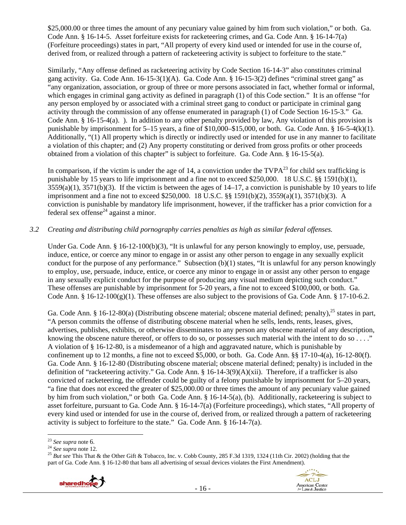\$25,000.00 or three times the amount of any pecuniary value gained by him from such violation," or both. Ga. Code Ann. § 16-14-5. Asset forfeiture exists for racketeering crimes, and Ga. Code Ann. § 16-14-7(a) (Forfeiture proceedings) states in part, "All property of every kind used or intended for use in the course of, derived from, or realized through a pattern of racketeering activity is subject to forfeiture to the state."

Similarly, "Any offense defined as racketeering activity by Code Section 16-14-3" also constitutes criminal gang activity. Ga. Code Ann. 16-15-3(1)(A). Ga. Code Ann. § 16-15-3(2) defines "criminal street gang" as "any organization, association, or group of three or more persons associated in fact, whether formal or informal, which engages in criminal gang activity as defined in paragraph (1) of this Code section." It is an offense "for any person employed by or associated with a criminal street gang to conduct or participate in criminal gang activity through the commission of any offense enumerated in paragraph (1) of Code Section 16-15-3." Ga. Code Ann.  $\S$  16-15-4(a). ). In addition to any other penalty provided by law, Any violation of this provision is punishable by imprisonment for 5–15 years, a fine of \$10,000–\$15,000, or both. Ga. Code Ann. § 16-5-4(k)(1). Additionally, "(1) All property which is directly or indirectly used or intended for use in any manner to facilitate a violation of this chapter; and (2) Any property constituting or derived from gross profits or other proceeds obtained from a violation of this chapter" is subject to forfeiture. Ga. Code Ann. § 16-15-5(a).

In comparison, if the victim is under the age of 14, a conviction under the  $TVPA^{23}$  for child sex trafficking is punishable by 15 years to life imprisonment and a fine not to exceed \$250,000. 18 U.S.C. §§ 1591(b)(1),  $3559(a)(1)$ ,  $3571(b)(3)$ . If the victim is between the ages of  $14-17$ , a conviction is punishable by 10 years to life imprisonment and a fine not to exceed \$250,000. 18 U.S.C. §§ 1591(b)(2), 3559(a)(1), 3571(b)(3). A conviction is punishable by mandatory life imprisonment, however, if the trafficker has a prior conviction for a federal sex offense<sup>24</sup> against a minor.

# *3.2 Creating and distributing child pornography carries penalties as high as similar federal offenses.*

Under Ga. Code Ann. § 16-12-100(b)(3), "It is unlawful for any person knowingly to employ, use, persuade, induce, entice, or coerce any minor to engage in or assist any other person to engage in any sexually explicit conduct for the purpose of any performance." Subsection  $(b)(1)$  states, "It is unlawful for any person knowingly to employ, use, persuade, induce, entice, or coerce any minor to engage in or assist any other person to engage in any sexually explicit conduct for the purpose of producing any visual medium depicting such conduct." These offenses are punishable by imprisonment for 5-20 years, a fine not to exceed \$100,000, or both. Ga. Code Ann. §  $16-12-100(g)(1)$ . These offenses are also subject to the provisions of Ga. Code Ann. § 17-10-6.2.

Ga. Code Ann. § 16-12-80(a) (Distributing obscene material; obscene material defined; penalty),  $25$  states in part, "A person commits the offense of distributing obscene material when he sells, lends, rents, leases, gives, advertises, publishes, exhibits, or otherwise disseminates to any person any obscene material of any description, knowing the obscene nature thereof, or offers to do so, or possesses such material with the intent to do so . . . ." A violation of § 16-12-80, is a misdemeanor of a high and aggravated nature, which is punishable by confinement up to 12 months, a fine not to exceed \$5,000, or both. Ga. Code Ann. §§ 17-10-4(a), 16-12-80(f). Ga. Code Ann. § 16-12-80 (Distributing obscene material; obscene material defined; penalty) is included in the definition of "racketeering activity." Ga. Code Ann. § 16-14-3(9)(A)(xii). Therefore, if a trafficker is also convicted of racketeering, the offender could be guilty of a felony punishable by imprisonment for 5–20 years, "a fine that does not exceed the greater of \$25,000.00 or three times the amount of any pecuniary value gained by him from such violation," or both Ga. Code Ann. § 16-14-5(a), (b). Additionally, racketeering is subject to asset forfeiture, pursuant to Ga. Code Ann. § 16-14-7(a) (Forfeiture proceedings), which states, "All property of every kind used or intended for use in the course of, derived from, or realized through a pattern of racketeering activity is subject to forfeiture to the state." Ga. Code Ann. § 16-14-7(a).

<sup>&</sup>lt;sup>23</sup> *See supra* note 6.<br><sup>24</sup> *See supra* note 12.<br><sup>25</sup> *But see* This That & the Other Gift & Tobacco, Inc. v. Cobb County, 285 F.3d 1319, 1324 (11th Cir. 2002) (holding that the part of Ga. Code Ann. § 16-12-80 that bans all advertising of sexual devices violates the First Amendment).

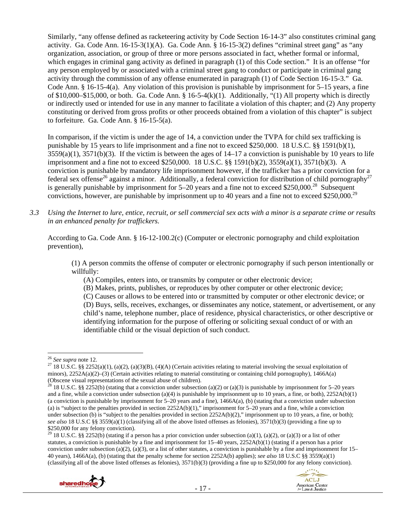Similarly, "any offense defined as racketeering activity by Code Section 16-14-3" also constitutes criminal gang activity. Ga. Code Ann. 16-15-3(1)(A). Ga. Code Ann. § 16-15-3(2) defines "criminal street gang" as "any organization, association, or group of three or more persons associated in fact, whether formal or informal, which engages in criminal gang activity as defined in paragraph (1) of this Code section." It is an offense "for any person employed by or associated with a criminal street gang to conduct or participate in criminal gang activity through the commission of any offense enumerated in paragraph (1) of Code Section 16-15-3." Ga. Code Ann. § 16-15-4(a). Any violation of this provision is punishable by imprisonment for 5–15 years, a fine of \$10,000–\$15,000, or both. Ga. Code Ann. § 16-5-4(k)(1). Additionally, "(1) All property which is directly or indirectly used or intended for use in any manner to facilitate a violation of this chapter; and (2) Any property constituting or derived from gross profits or other proceeds obtained from a violation of this chapter" is subject to forfeiture. Ga. Code Ann. § 16-15-5(a).

In comparison, if the victim is under the age of 14, a conviction under the TVPA for child sex trafficking is punishable by 15 years to life imprisonment and a fine not to exceed \$250,000. 18 U.S.C. §§ 1591(b)(1),  $3559(a)(1)$ ,  $3571(b)(3)$ . If the victim is between the ages of  $14-17$  a conviction is punishable by 10 years to life imprisonment and a fine not to exceed \$250,000. 18 U.S.C. §§ 1591(b)(2), 3559(a)(1), 3571(b)(3). A conviction is punishable by mandatory life imprisonment however, if the trafficker has a prior conviction for a federal sex offense<sup>26</sup> against a minor. Additionally, a federal conviction for distribution of child pornography<sup>27</sup> is generally punishable by imprisonment for 5–20 years and a fine not to exceed \$250,000.<sup>28</sup> Subsequent convictions, however, are punishable by imprisonment up to 40 years and a fine not to exceed \$250,000.<sup>29</sup>

*3.3 Using the Internet to lure, entice, recruit, or sell commercial sex acts with a minor is a separate crime or results in an enhanced penalty for traffickers.* 

According to Ga. Code Ann. § 16-12-100.2(c) (Computer or electronic pornography and child exploitation prevention),

(1) A person commits the offense of computer or electronic pornography if such person intentionally or willfully:

(A) Compiles, enters into, or transmits by computer or other electronic device;

(B) Makes, prints, publishes, or reproduces by other computer or other electronic device;

(C) Causes or allows to be entered into or transmitted by computer or other electronic device; or (D) Buys, sells, receives, exchanges, or disseminates any notice, statement, or advertisement, or any child's name, telephone number, place of residence, physical characteristics, or other descriptive or identifying information for the purpose of offering or soliciting sexual conduct of or with an identifiable child or the visual depiction of such conduct.

<sup>&</sup>lt;sup>29</sup> 18 U.S.C. §§ 2252(b) (stating if a person has a prior conviction under subsection (a)(1), (a)(2), or (a)(3) or a list of other statutes, a conviction is punishable by a fine and imprisonment for 15–40 years, 2252A(b)(1) (stating if a person has a prior conviction under subsection (a)(2), (a)(3), or a list of other statutes, a conviction is punishable by a fine and imprisonment for  $15-$ 40 years), 1466A(a), (b) (stating that the penalty scheme for section 2252A(b) applies); *see also* 18 U.S.C §§ 3559(a)(1) (classifying all of the above listed offenses as felonies), 3571(b)(3) (providing a fine up to \$250,000 for any felony conviction).



<sup>&</sup>lt;sup>26</sup> *See supra* note 12.<br><sup>27</sup> 18 U.S.C. §§ 2252(a)(1), (a)(2), (a)(3)(B), (4)(A) (Certain activities relating to material involving the sexual exploitation of minors), 2252A(a)(2)–(3) (Certain activities relating to material constituting or containing child pornography), 1466A(a) (Obscene visual representations of the sexual abuse of children).

<sup>&</sup>lt;sup>28</sup> 18 U.S.C. §§ 2252(b) (stating that a conviction under subsection (a)(2) or (a)(3) is punishable by imprisonment for 5–20 years and a fine, while a conviction under subsection (a)(4) is punishable by imprisonment up to 10 years, a fine, or both),  $2252A(b)(1)$ (a conviction is punishable by imprisonment for  $5-20$  years and a fine),  $1466A(a)$ , (b) (stating that a conviction under subsection (a) is "subject to the penalties provided in section  $2252A(b)(1)$ ," imprisonment for 5–20 years and a fine, while a conviction under subsection (b) is "subject to the penalties provided in section  $2252A(b)(2)$ ," imprisonment up to 10 years, a fine, or both); *see also* 18 U.S.C §§ 3559(a)(1) (classifying all of the above listed offenses as felonies), 3571(b)(3) (providing a fine up to \$250,000 for any felony conviction).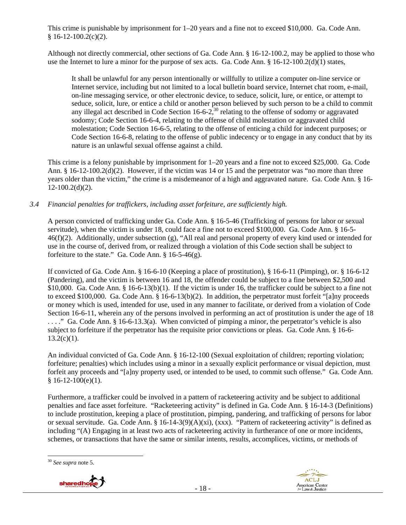This crime is punishable by imprisonment for 1–20 years and a fine not to exceed \$10,000. Ga. Code Ann.  $§ 16-12-100.2(c)(2).$ 

Although not directly commercial, other sections of Ga. Code Ann. § 16-12-100.2, may be applied to those who use the Internet to lure a minor for the purpose of sex acts. Ga. Code Ann. § 16-12-100.2(d)(1) states,

It shall be unlawful for any person intentionally or willfully to utilize a computer on-line service or Internet service, including but not limited to a local bulletin board service, Internet chat room, e-mail, on-line messaging service, or other electronic device, to seduce, solicit, lure, or entice, or attempt to seduce, solicit, lure, or entice a child or another person believed by such person to be a child to commit any illegal act described in Code Section 16-6-2,<sup>30</sup> relating to the offense of sodomy or aggravated sodomy; Code Section 16-6-4, relating to the offense of child molestation or aggravated child molestation; Code Section 16-6-5, relating to the offense of enticing a child for indecent purposes; or Code Section 16-6-8, relating to the offense of public indecency or to engage in any conduct that by its nature is an unlawful sexual offense against a child.

This crime is a felony punishable by imprisonment for 1–20 years and a fine not to exceed \$25,000. Ga. Code Ann. § 16-12-100.2(d)(2). However, if the victim was 14 or 15 and the perpetrator was "no more than three years older than the victim," the crime is a misdemeanor of a high and aggravated nature. Ga. Code Ann. § 16-  $12-100.2(d)(2)$ .

# *3.4 Financial penalties for traffickers, including asset forfeiture, are sufficiently high.*

A person convicted of trafficking under Ga. Code Ann. § 16-5-46 (Trafficking of persons for labor or sexual servitude), when the victim is under 18, could face a fine not to exceed \$100,000. Ga. Code Ann. § 16-5-  $46(f)(2)$ . Additionally, under subsection (g), "All real and personal property of every kind used or intended for use in the course of, derived from, or realized through a violation of this Code section shall be subject to forfeiture to the state." Ga. Code Ann.  $\S$  16-5-46(g).

If convicted of Ga. Code Ann. § 16-6-10 (Keeping a place of prostitution), § 16-6-11 (Pimping), or. § 16-6-12 (Pandering), and the victim is between 16 and 18, the offender could be subject to a fine between \$2,500 and \$10,000. Ga. Code Ann. § 16-6-13(b)(1). If the victim is under 16, the trafficker could be subject to a fine not to exceed \$100,000. Ga. Code Ann. § 16-6-13(b)(2). In addition, the perpetrator must forfeit "[a]ny proceeds or money which is used, intended for use, used in any manner to facilitate, or derived from a violation of Code Section 16-6-11, wherein any of the persons involved in performing an act of prostitution is under the age of 18 ...." Ga. Code Ann. § 16-6-13.3(a). When convicted of pimping a minor, the perpetrator's vehicle is also subject to forfeiture if the perpetrator has the requisite prior convictions or pleas. Ga. Code Ann. § 16-6-  $13.2(c)(1)$ .

An individual convicted of Ga. Code Ann. § 16-12-100 (Sexual exploitation of children; reporting violation; forfeiture; penalties) which includes using a minor in a sexually explicit performance or visual depiction, must forfeit any proceeds and "[a]ny property used, or intended to be used, to commit such offense." Ga. Code Ann.  $$16-12-100(e)(1).$ 

Furthermore, a trafficker could be involved in a pattern of racketeering activity and be subject to additional penalties and face asset forfeiture. "Racketeering activity" is defined in Ga. Code Ann. § 16-14-3 (Definitions) to include prostitution, keeping a place of prostitution, pimping, pandering, and trafficking of persons for labor or sexual servitude. Ga. Code Ann. §  $16-14-3(9)(A)(xi)$ , (xxx). "Pattern of racketeering activity" is defined as including "(A) Engaging in at least two acts of racketeering activity in furtherance of one or more incidents, schemes, or transactions that have the same or similar intents, results, accomplices, victims, or methods of

<sup>30</sup> *See supra* note 5.



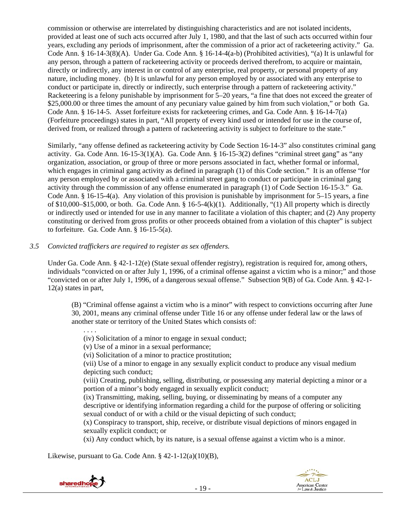commission or otherwise are interrelated by distinguishing characteristics and are not isolated incidents, provided at least one of such acts occurred after July 1, 1980, and that the last of such acts occurred within four years, excluding any periods of imprisonment, after the commission of a prior act of racketeering activity." Ga. Code Ann. § 16-14-3(8)(A). Under Ga. Code Ann. § 16-14-4(a-b) (Prohibited activities), "(a) It is unlawful for any person, through a pattern of racketeering activity or proceeds derived therefrom, to acquire or maintain, directly or indirectly, any interest in or control of any enterprise, real property, or personal property of any nature, including money. (b) It is unlawful for any person employed by or associated with any enterprise to conduct or participate in, directly or indirectly, such enterprise through a pattern of racketeering activity." Racketeering is a felony punishable by imprisonment for 5–20 years, "a fine that does not exceed the greater of \$25,000.00 or three times the amount of any pecuniary value gained by him from such violation," or both Ga. Code Ann. § 16-14-5. Asset forfeiture exists for racketeering crimes, and Ga. Code Ann. § 16-14-7(a) (Forfeiture proceedings) states in part, "All property of every kind used or intended for use in the course of, derived from, or realized through a pattern of racketeering activity is subject to forfeiture to the state."

Similarly, "any offense defined as racketeering activity by Code Section 16-14-3" also constitutes criminal gang activity. Ga. Code Ann. 16-15-3(1)(A). Ga. Code Ann. § 16-15-3(2) defines "criminal street gang" as "any organization, association, or group of three or more persons associated in fact, whether formal or informal, which engages in criminal gang activity as defined in paragraph (1) of this Code section." It is an offense "for any person employed by or associated with a criminal street gang to conduct or participate in criminal gang activity through the commission of any offense enumerated in paragraph (1) of Code Section 16-15-3." Ga. Code Ann. § 16-15-4(a). Any violation of this provision is punishable by imprisonment for 5–15 years, a fine of \$10,000–\$15,000, or both. Ga. Code Ann.  $\frac{8}{9}$  16-5-4(k)(1). Additionally, "(1) All property which is directly or indirectly used or intended for use in any manner to facilitate a violation of this chapter; and (2) Any property constituting or derived from gross profits or other proceeds obtained from a violation of this chapter" is subject to forfeiture. Ga. Code Ann. § 16-15-5(a).

*3.5 Convicted traffickers are required to register as sex offenders.*

Under Ga. Code Ann. § 42-1-12(e) (State sexual offender registry), registration is required for, among others, individuals "convicted on or after July 1, 1996, of a criminal offense against a victim who is a minor;" and those "convicted on or after July 1, 1996, of a dangerous sexual offense." Subsection 9(B) of Ga. Code Ann. § 42-1- 12(a) states in part,

(B) "Criminal offense against a victim who is a minor" with respect to convictions occurring after June 30, 2001, means any criminal offense under Title 16 or any offense under federal law or the laws of another state or territory of the United States which consists of:

(iv) Solicitation of a minor to engage in sexual conduct;

(v) Use of a minor in a sexual performance;

(vi) Solicitation of a minor to practice prostitution;

(vii) Use of a minor to engage in any sexually explicit conduct to produce any visual medium depicting such conduct;

(viii) Creating, publishing, selling, distributing, or possessing any material depicting a minor or a portion of a minor's body engaged in sexually explicit conduct;

(ix) Transmitting, making, selling, buying, or disseminating by means of a computer any descriptive or identifying information regarding a child for the purpose of offering or soliciting sexual conduct of or with a child or the visual depicting of such conduct;

(x) Conspiracy to transport, ship, receive, or distribute visual depictions of minors engaged in sexually explicit conduct; or

(xi) Any conduct which, by its nature, is a sexual offense against a victim who is a minor.

Likewise, pursuant to Ga. Code Ann. § 42-1-12(a)(10)(B),



. . . .

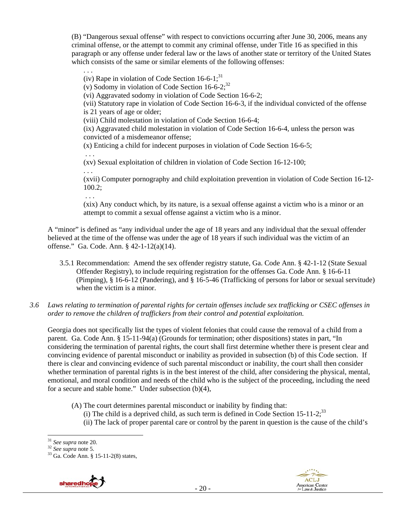(B) "Dangerous sexual offense" with respect to convictions occurring after June 30, 2006, means any criminal offense, or the attempt to commit any criminal offense, under Title 16 as specified in this paragraph or any offense under federal law or the laws of another state or territory of the United States which consists of the same or similar elements of the following offenses:

(iv) Rape in violation of Code Section  $16-6-1$ ;<sup>31</sup>

(v) Sodomy in violation of Code Section  $16-6-2$ ;<sup>32</sup>

(vi) Aggravated sodomy in violation of Code Section 16-6-2;

(vii) Statutory rape in violation of Code Section 16-6-3, if the individual convicted of the offense is 21 years of age or older;

(viii) Child molestation in violation of Code Section 16-6-4;

(ix) Aggravated child molestation in violation of Code Section 16-6-4, unless the person was convicted of a misdemeanor offense;

(x) Enticing a child for indecent purposes in violation of Code Section 16-6-5;

(xv) Sexual exploitation of children in violation of Code Section 16-12-100;

. . .

. . .

. . .

(xvii) Computer pornography and child exploitation prevention in violation of Code Section 16-12- 100.2;

. . .

(xix) Any conduct which, by its nature, is a sexual offense against a victim who is a minor or an attempt to commit a sexual offense against a victim who is a minor.

A "minor" is defined as "any individual under the age of 18 years and any individual that the sexual offender believed at the time of the offense was under the age of 18 years if such individual was the victim of an offense." Ga. Code. Ann. § 42-1-12(a)(14).

- 3.5.1 Recommendation: Amend the sex offender registry statute, Ga. Code Ann. § 42-1-12 (State Sexual Offender Registry), to include requiring registration for the offenses Ga. Code Ann. § 16-6-11 (Pimping), § 16-6-12 (Pandering), and § 16-5-46 (Trafficking of persons for labor or sexual servitude) when the victim is a minor.
- *3.6 Laws relating to termination of parental rights for certain offenses include sex trafficking or CSEC offenses in order to remove the children of traffickers from their control and potential exploitation.*

Georgia does not specifically list the types of violent felonies that could cause the removal of a child from a parent. Ga. Code Ann. § 15-11-94(a) (Grounds for termination; other dispositions) states in part, "In considering the termination of parental rights, the court shall first determine whether there is present clear and convincing evidence of parental misconduct or inability as provided in subsection (b) of this Code section. If there is clear and convincing evidence of such parental misconduct or inability, the court shall then consider whether termination of parental rights is in the best interest of the child, after considering the physical, mental, emotional, and moral condition and needs of the child who is the subject of the proceeding, including the need for a secure and stable home." Under subsection (b)(4),

- (A) The court determines parental misconduct or inability by finding that:
	- (i) The child is a deprived child, as such term is defined in Code Section 15-11-2;<sup>33</sup>
	- (ii) The lack of proper parental care or control by the parent in question is the cause of the child's

<sup>&</sup>lt;sup>32</sup> *See supra* note 5.<br><sup>33</sup> Ga. Code Ann. § 15-11-2(8) states,





 $31$  See supra note 20.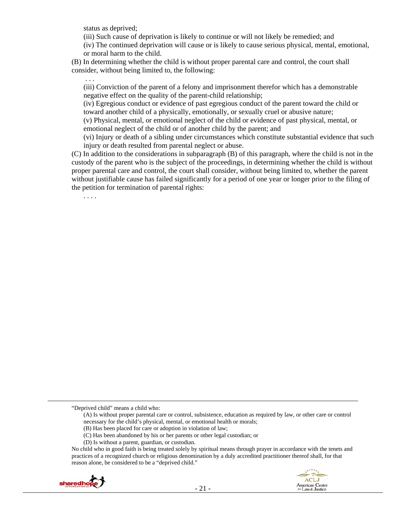status as deprived;

(iii) Such cause of deprivation is likely to continue or will not likely be remedied; and

(iv) The continued deprivation will cause or is likely to cause serious physical, mental, emotional, or moral harm to the child.

(B) In determining whether the child is without proper parental care and control, the court shall consider, without being limited to, the following:

(iii) Conviction of the parent of a felony and imprisonment therefor which has a demonstrable negative effect on the quality of the parent-child relationship;

(iv) Egregious conduct or evidence of past egregious conduct of the parent toward the child or toward another child of a physically, emotionally, or sexually cruel or abusive nature;

(v) Physical, mental, or emotional neglect of the child or evidence of past physical, mental, or emotional neglect of the child or of another child by the parent; and

(vi) Injury or death of a sibling under circumstances which constitute substantial evidence that such injury or death resulted from parental neglect or abuse.

(C) In addition to the considerations in subparagraph (B) of this paragraph, where the child is not in the custody of the parent who is the subject of the proceedings, in determining whether the child is without proper parental care and control, the court shall consider, without being limited to, whether the parent without justifiable cause has failed significantly for a period of one year or longer prior to the filing of the petition for termination of parental rights:

. . . .

. . .

- (B) Has been placed for care or adoption in violation of law;
- (C) Has been abandoned by his or her parents or other legal custodian; or
- (D) Is without a parent, guardian, or custodian.

No child who in good faith is being treated solely by spiritual means through prayer in accordance with the tenets and practices of a recognized church or religious denomination by a duly accredited practitioner thereof shall, for that reason alone, be considered to be a "deprived child."



<u> 1989 - Johann Stein, marwolaethau a gweledydd a ganlad y ganlad y ganlad y ganlad y ganlad y ganlad y ganlad</u>

<sup>&</sup>quot;Deprived child" means a child who:

<sup>(</sup>A) Is without proper parental care or control, subsistence, education as required by law, or other care or control necessary for the child's physical, mental, or emotional health or morals;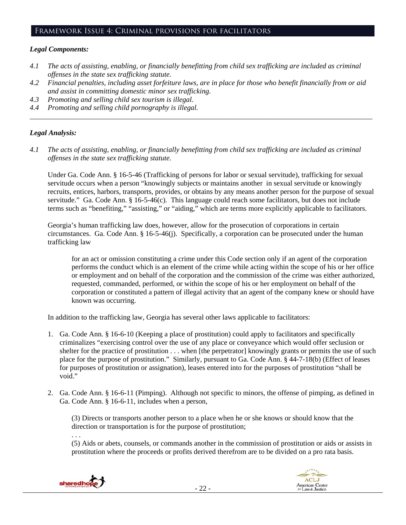#### Framework Issue 4: Criminal provisions for facilitators

## *Legal Components:*

- *4.1 The acts of assisting, enabling, or financially benefitting from child sex trafficking are included as criminal offenses in the state sex trafficking statute.*
- *4.2 Financial penalties, including asset forfeiture laws, are in place for those who benefit financially from or aid and assist in committing domestic minor sex trafficking.*

*\_\_\_\_\_\_\_\_\_\_\_\_\_\_\_\_\_\_\_\_\_\_\_\_\_\_\_\_\_\_\_\_\_\_\_\_\_\_\_\_\_\_\_\_\_\_\_\_\_\_\_\_\_\_\_\_\_\_\_\_\_\_\_\_\_\_\_\_\_\_\_\_\_\_\_\_\_\_\_\_\_\_\_\_\_\_\_\_\_\_\_\_\_\_* 

- *4.3 Promoting and selling child sex tourism is illegal.*
- *4.4 Promoting and selling child pornography is illegal.*

#### *Legal Analysis:*

*4.1 The acts of assisting, enabling, or financially benefitting from child sex trafficking are included as criminal offenses in the state sex trafficking statute.*

Under Ga. Code Ann. § 16-5-46 (Trafficking of persons for labor or sexual servitude), trafficking for sexual servitude occurs when a person "knowingly subjects or maintains another in sexual servitude or knowingly recruits, entices, harbors, transports, provides, or obtains by any means another person for the purpose of sexual servitude." Ga. Code Ann. § 16-5-46(c). This language could reach some facilitators, but does not include terms such as "benefiting," "assisting," or "aiding," which are terms more explicitly applicable to facilitators.

Georgia's human trafficking law does, however, allow for the prosecution of corporations in certain circumstances. Ga. Code Ann. § 16-5-46(j). Specifically, a corporation can be prosecuted under the human trafficking law

for an act or omission constituting a crime under this Code section only if an agent of the corporation performs the conduct which is an element of the crime while acting within the scope of his or her office or employment and on behalf of the corporation and the commission of the crime was either authorized, requested, commanded, performed, or within the scope of his or her employment on behalf of the corporation or constituted a pattern of illegal activity that an agent of the company knew or should have known was occurring.

In addition to the trafficking law, Georgia has several other laws applicable to facilitators:

- 1. Ga. Code Ann. § 16-6-10 (Keeping a place of prostitution) could apply to facilitators and specifically criminalizes "exercising control over the use of any place or conveyance which would offer seclusion or shelter for the practice of prostitution . . . when [the perpetrator] knowingly grants or permits the use of such place for the purpose of prostitution." Similarly, pursuant to Ga. Code Ann. § 44-7-18(b) (Effect of leases for purposes of prostitution or assignation), leases entered into for the purposes of prostitution "shall be void."
- 2. Ga. Code Ann. § 16-6-11 (Pimping). Although not specific to minors, the offense of pimping, as defined in Ga. Code Ann. § 16-6-11, includes when a person,

(3) Directs or transports another person to a place when he or she knows or should know that the direction or transportation is for the purpose of prostitution;

(5) Aids or abets, counsels, or commands another in the commission of prostitution or aids or assists in prostitution where the proceeds or profits derived therefrom are to be divided on a pro rata basis.



. . .

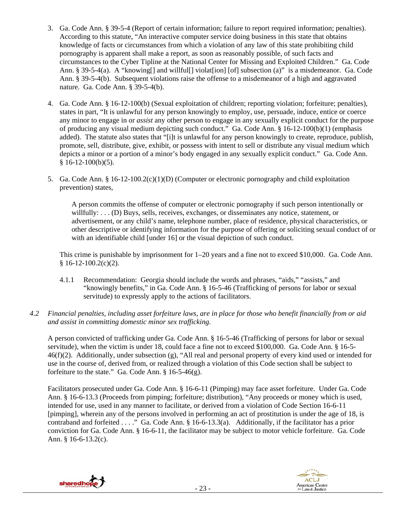- 3. Ga. Code Ann. § 39-5-4 (Report of certain information; failure to report required information; penalties). According to this statute, "An interactive computer service doing business in this state that obtains knowledge of facts or circumstances from which a violation of any law of this state prohibiting child pornography is apparent shall make a report, as soon as reasonably possible, of such facts and circumstances to the Cyber Tipline at the National Center for Missing and Exploited Children." Ga. Code Ann. § 39-5-4(a). A "knowing[] and willful[] violat[ion] [of] subsection (a)" is a misdemeanor. Ga. Code Ann. § 39-5-4(b). Subsequent violations raise the offense to a misdemeanor of a high and aggravated nature. Ga. Code Ann. § 39-5-4(b).
- 4. Ga. Code Ann. § 16-12-100(b) (Sexual exploitation of children; reporting violation; forfeiture; penalties), states in part, "It is unlawful for any person knowingly to employ, use, persuade, induce, entice or coerce any minor to engage in or *assist* any other person to engage in any sexually explicit conduct for the purpose of producing any visual medium depicting such conduct." Ga. Code Ann. § 16-12-100(b)(1) (emphasis added). The statute also states that "[i]t is unlawful for any person knowingly to create, reproduce, publish, promote, sell, distribute, give, exhibit, or possess with intent to sell or distribute any visual medium which depicts a minor or a portion of a minor's body engaged in any sexually explicit conduct." Ga. Code Ann.  $$16-12-100(b)(5).$
- 5. Ga. Code Ann. § 16-12-100.2(c)(1)(D) (Computer or electronic pornography and child exploitation prevention) states,

A person commits the offense of computer or electronic pornography if such person intentionally or willfully: . . . (D) Buys, sells, receives, exchanges, or disseminates any notice, statement, or advertisement, or any child's name, telephone number, place of residence, physical characteristics, or other descriptive or identifying information for the purpose of offering or soliciting sexual conduct of or with an identifiable child [under 16] or the visual depiction of such conduct.

This crime is punishable by imprisonment for 1–20 years and a fine not to exceed \$10,000. Ga. Code Ann.  $$16-12-100.2(c)(2).$ 

- 4.1.1 Recommendation: Georgia should include the words and phrases, "aids," "assists," and "knowingly benefits," in Ga. Code Ann. § 16-5-46 (Trafficking of persons for labor or sexual servitude) to expressly apply to the actions of facilitators.
- *4.2 Financial penalties, including asset forfeiture laws, are in place for those who benefit financially from or aid and assist in committing domestic minor sex trafficking.*

A person convicted of trafficking under Ga. Code Ann. § 16-5-46 (Trafficking of persons for labor or sexual servitude), when the victim is under 18, could face a fine not to exceed \$100,000. Ga. Code Ann. § 16-5-  $46(f)(2)$ . Additionally, under subsection (g), "All real and personal property of every kind used or intended for use in the course of, derived from, or realized through a violation of this Code section shall be subject to forfeiture to the state." Ga. Code Ann.  $§$  16-5-46(g).

Facilitators prosecuted under Ga. Code Ann. § 16-6-11 (Pimping) may face asset forfeiture. Under Ga. Code Ann. § 16-6-13.3 (Proceeds from pimping; forfeiture; distribution), "Any proceeds or money which is used, intended for use, used in any manner to facilitate, or derived from a violation of Code Section 16-6-11 [pimping], wherein any of the persons involved in performing an act of prostitution is under the age of 18, is contraband and forfeited . . . ." Ga. Code Ann. § 16-6-13.3(a). Additionally, if the facilitator has a prior conviction for Ga. Code Ann. § 16-6-11, the facilitator may be subject to motor vehicle forfeiture. Ga. Code Ann. § 16-6-13.2(c).



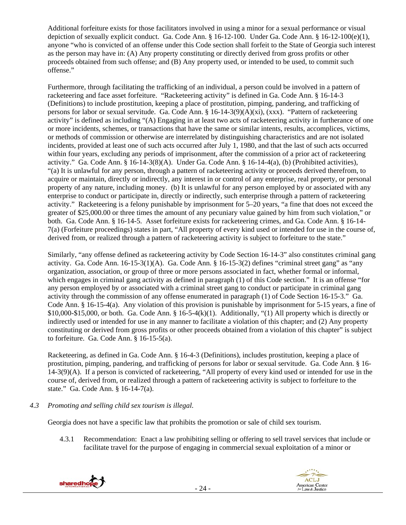Additional forfeiture exists for those facilitators involved in using a minor for a sexual performance or visual depiction of sexually explicit conduct. Ga. Code Ann. § 16-12-100. Under Ga. Code Ann. § 16-12-100(e)(1), anyone "who is convicted of an offense under this Code section shall forfeit to the State of Georgia such interest as the person may have in: (A) Any property constituting or directly derived from gross profits or other proceeds obtained from such offense; and (B) Any property used, or intended to be used, to commit such offense."

Furthermore, through facilitating the trafficking of an individual, a person could be involved in a pattern of racketeering and face asset forfeiture. "Racketeering activity" is defined in Ga. Code Ann. § 16-14-3 (Definitions) to include prostitution, keeping a place of prostitution, pimping, pandering, and trafficking of persons for labor or sexual servitude. Ga. Code Ann. § 16-14-3(9)(A)(xi), (xxx). "Pattern of racketeering activity" is defined as including "(A) Engaging in at least two acts of racketeering activity in furtherance of one or more incidents, schemes, or transactions that have the same or similar intents, results, accomplices, victims, or methods of commission or otherwise are interrelated by distinguishing characteristics and are not isolated incidents, provided at least one of such acts occurred after July 1, 1980, and that the last of such acts occurred within four years, excluding any periods of imprisonment, after the commission of a prior act of racketeering activity." Ga. Code Ann. § 16-14-3(8)(A). Under Ga. Code Ann. § 16-14-4(a), (b) (Prohibited activities), "(a) It is unlawful for any person, through a pattern of racketeering activity or proceeds derived therefrom, to acquire or maintain, directly or indirectly, any interest in or control of any enterprise, real property, or personal property of any nature, including money. (b) It is unlawful for any person employed by or associated with any enterprise to conduct or participate in, directly or indirectly, such enterprise through a pattern of racketeering activity." Racketeering is a felony punishable by imprisonment for 5–20 years, "a fine that does not exceed the greater of \$25,000.00 or three times the amount of any pecuniary value gained by him from such violation," or both. Ga. Code Ann. § 16-14-5. Asset forfeiture exists for racketeering crimes, and Ga. Code Ann. § 16-14- 7(a) (Forfeiture proceedings) states in part, "All property of every kind used or intended for use in the course of, derived from, or realized through a pattern of racketeering activity is subject to forfeiture to the state."

Similarly, "any offense defined as racketeering activity by Code Section 16-14-3" also constitutes criminal gang activity. Ga. Code Ann.  $16-15-3(1)(A)$ . Ga. Code Ann. §  $16-15-3(2)$  defines "criminal street gang" as "any organization, association, or group of three or more persons associated in fact, whether formal or informal, which engages in criminal gang activity as defined in paragraph (1) of this Code section." It is an offense "for any person employed by or associated with a criminal street gang to conduct or participate in criminal gang activity through the commission of any offense enumerated in paragraph (1) of Code Section 16-15-3." Ga. Code Ann. § 16-15-4(a). Any violation of this provision is punishable by imprisonment for 5-15 years, a fine of  $$10,000-$15,000$ , or both. Ga. Code Ann.  $$16-5-4(k)(1)$ . Additionally, "(1) All property which is directly or indirectly used or intended for use in any manner to facilitate a violation of this chapter; and (2) Any property constituting or derived from gross profits or other proceeds obtained from a violation of this chapter" is subject to forfeiture. Ga. Code Ann. § 16-15-5(a).

Racketeering, as defined in Ga. Code Ann. § 16-4-3 (Definitions), includes prostitution, keeping a place of prostitution, pimping, pandering, and trafficking of persons for labor or sexual servitude. Ga. Code Ann. § 16- 14-3(9)(A). If a person is convicted of racketeering, "All property of every kind used or intended for use in the course of, derived from, or realized through a pattern of racketeering activity is subject to forfeiture to the state." Ga. Code Ann. § 16-14-7(a).

*4.3 Promoting and selling child sex tourism is illegal*.

Georgia does not have a specific law that prohibits the promotion or sale of child sex tourism.

4.3.1 Recommendation: Enact a law prohibiting selling or offering to sell travel services that include or facilitate travel for the purpose of engaging in commercial sexual exploitation of a minor or



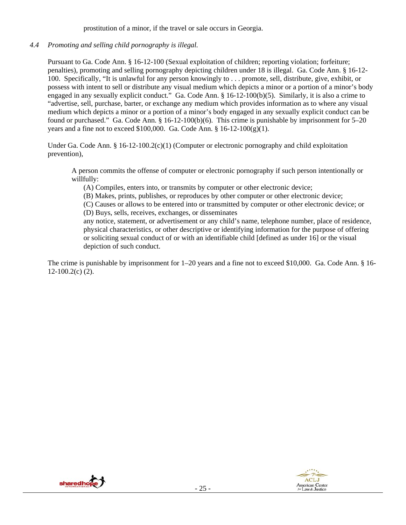prostitution of a minor, if the travel or sale occurs in Georgia.

*4.4 Promoting and selling child pornography is illegal.*

Pursuant to Ga. Code Ann. § 16-12-100 (Sexual exploitation of children; reporting violation; forfeiture; penalties), promoting and selling pornography depicting children under 18 is illegal. Ga. Code Ann. § 16-12- 100. Specifically, "It is unlawful for any person knowingly to . . . promote, sell, distribute, give, exhibit, or possess with intent to sell or distribute any visual medium which depicts a minor or a portion of a minor's body engaged in any sexually explicit conduct." Ga. Code Ann. § 16-12-100(b)(5). Similarly, it is also a crime to "advertise, sell, purchase, barter, or exchange any medium which provides information as to where any visual medium which depicts a minor or a portion of a minor's body engaged in any sexually explicit conduct can be found or purchased." Ga. Code Ann. § 16-12-100(b)(6). This crime is punishable by imprisonment for 5–20 years and a fine not to exceed  $$100,000$ . Ga. Code Ann.  $$16-12-100(g)(1)$ .

Under Ga. Code Ann. § 16-12-100.2(c)(1) (Computer or electronic pornography and child exploitation prevention),

A person commits the offense of computer or electronic pornography if such person intentionally or willfully:

(A) Compiles, enters into, or transmits by computer or other electronic device;

(B) Makes, prints, publishes, or reproduces by other computer or other electronic device;

(C) Causes or allows to be entered into or transmitted by computer or other electronic device; or (D) Buys, sells, receives, exchanges, or disseminates

any notice, statement, or advertisement or any child's name, telephone number, place of residence, physical characteristics, or other descriptive or identifying information for the purpose of offering or soliciting sexual conduct of or with an identifiable child [defined as under 16] or the visual depiction of such conduct.

The crime is punishable by imprisonment for 1–20 years and a fine not to exceed \$10,000. Ga. Code Ann. § 16-  $12-100.2(c)$  (2).



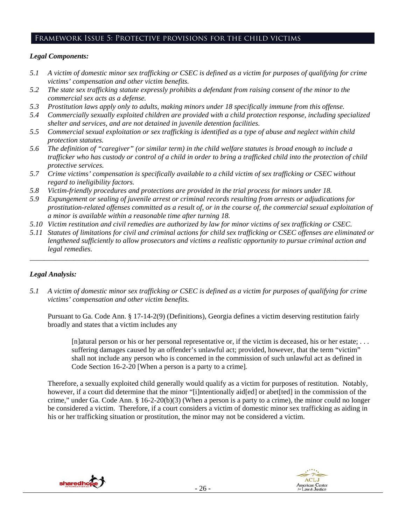# Framework Issue 5: Protective provisions for the child victims

# *Legal Components:*

- *5.1 A victim of domestic minor sex trafficking or CSEC is defined as a victim for purposes of qualifying for crime victims' compensation and other victim benefits.*
- *5.2 The state sex trafficking statute expressly prohibits a defendant from raising consent of the minor to the commercial sex acts as a defense.*
- *5.3 Prostitution laws apply only to adults, making minors under 18 specifically immune from this offense.*
- *5.4 Commercially sexually exploited children are provided with a child protection response, including specialized shelter and services, and are not detained in juvenile detention facilities.*
- *5.5 Commercial sexual exploitation or sex trafficking is identified as a type of abuse and neglect within child protection statutes.*
- *5.6 The definition of "caregiver" (or similar term) in the child welfare statutes is broad enough to include a trafficker who has custody or control of a child in order to bring a trafficked child into the protection of child protective services.*
- *5.7 Crime victims' compensation is specifically available to a child victim of sex trafficking or CSEC without regard to ineligibility factors.*
- *5.8 Victim-friendly procedures and protections are provided in the trial process for minors under 18.*
- *5.9 Expungement or sealing of juvenile arrest or criminal records resulting from arrests or adjudications for prostitution-related offenses committed as a result of, or in the course of, the commercial sexual exploitation of a minor is available within a reasonable time after turning 18.*
- *5.10 Victim restitution and civil remedies are authorized by law for minor victims of sex trafficking or CSEC.*
- *5.11 Statutes of limitations for civil and criminal actions for child sex trafficking or CSEC offenses are eliminated or lengthened sufficiently to allow prosecutors and victims a realistic opportunity to pursue criminal action and legal remedies.*

*\_\_\_\_\_\_\_\_\_\_\_\_\_\_\_\_\_\_\_\_\_\_\_\_\_\_\_\_\_\_\_\_\_\_\_\_\_\_\_\_\_\_\_\_\_\_\_\_\_\_\_\_\_\_\_\_\_\_\_\_\_\_\_\_\_\_\_\_\_\_\_\_\_\_\_\_\_\_\_\_\_\_\_\_\_\_\_\_\_\_\_\_\_* 

# *Legal Analysis:*

*5.1 A victim of domestic minor sex trafficking or CSEC is defined as a victim for purposes of qualifying for crime victims' compensation and other victim benefits.* 

Pursuant to Ga. Code Ann. § 17-14-2(9) (Definitions), Georgia defines a victim deserving restitution fairly broadly and states that a victim includes any

[n]atural person or his or her personal representative or, if the victim is deceased, his or her estate; . . . suffering damages caused by an offender's unlawful act; provided, however, that the term "victim" shall not include any person who is concerned in the commission of such unlawful act as defined in Code Section 16-2-20 [When a person is a party to a crime]*.*

Therefore, a sexually exploited child generally would qualify as a victim for purposes of restitution. Notably, however, if a court did determine that the minor "[i]ntentionally aid[ed] or abet[ted] in the commission of the crime," under Ga. Code Ann.  $\S$  16-2-20(b)(3) (When a person is a party to a crime), the minor could no longer be considered a victim. Therefore, if a court considers a victim of domestic minor sex trafficking as aiding in his or her trafficking situation or prostitution, the minor may not be considered a victim.



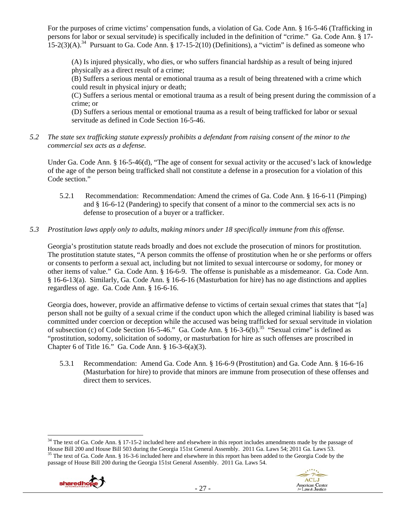For the purposes of crime victims' compensation funds, a violation of Ga. Code Ann. § 16-5-46 (Trafficking in persons for labor or sexual servitude) is specifically included in the definition of "crime." Ga. Code Ann. § 17-  $15-2(3)(A)$ .<sup>34</sup> Pursuant to Ga. Code Ann. § 17-15-2(10) (Definitions), a "victim" is defined as someone who

(A) Is injured physically, who dies, or who suffers financial hardship as a result of being injured physically as a direct result of a crime;

(B) Suffers a serious mental or emotional trauma as a result of being threatened with a crime which could result in physical injury or death;

(C) Suffers a serious mental or emotional trauma as a result of being present during the commission of a crime; or

(D) Suffers a serious mental or emotional trauma as a result of being trafficked for labor or sexual servitude as defined in Code Section 16-5-46.

*5.2 The state sex trafficking statute expressly prohibits a defendant from raising consent of the minor to the commercial sex acts as a defense.* 

Under Ga. Code Ann. § 16-5-46(d), "The age of consent for sexual activity or the accused's lack of knowledge of the age of the person being trafficked shall not constitute a defense in a prosecution for a violation of this Code section."

5.2.1 Recommendation: Recommendation: Amend the crimes of Ga. Code Ann. § 16-6-11 (Pimping) and § 16-6-12 (Pandering) to specify that consent of a minor to the commercial sex acts is no defense to prosecution of a buyer or a trafficker.

# *5.3 Prostitution laws apply only to adults, making minors under 18 specifically immune from this offense.*

Georgia's prostitution statute reads broadly and does not exclude the prosecution of minors for prostitution. The prostitution statute states, "A person commits the offense of prostitution when he or she performs or offers or consents to perform a sexual act, including but not limited to sexual intercourse or sodomy, for money or other items of value." Ga. Code Ann. § 16-6-9. The offense is punishable as a misdemeanor. Ga. Code Ann. § 16-6-13(a). Similarly, Ga. Code Ann. § 16-6-16 (Masturbation for hire) has no age distinctions and applies regardless of age. Ga. Code Ann. § 16-6-16.

Georgia does, however, provide an affirmative defense to victims of certain sexual crimes that states that "[a] person shall not be guilty of a sexual crime if the conduct upon which the alleged criminal liability is based was committed under coercion or deception while the accused was being trafficked for sexual servitude in violation of subsection (c) of Code Section 16-5-46." Ga. Code Ann.  $\S 16-3-6(b)$ .<sup>35</sup> "Sexual crime" is defined as "prostitution, sodomy, solicitation of sodomy, or masturbation for hire as such offenses are proscribed in Chapter 6 of Title 16." Ga. Code Ann. § 16-3-6(a)(3).

5.3.1 Recommendation: Amend Ga. Code Ann. § 16-6-9 (Prostitution) and Ga. Code Ann. § 16-6-16 (Masturbation for hire) to provide that minors are immune from prosecution of these offenses and direct them to services.

  $34$  The text of Ga. Code Ann. § 17-15-2 included here and elsewhere in this report includes amendments made by the passage of House Bill 200 and House Bill 503 during the Georgia 151st General Assembly. 2011 Ga. Laws 54; 2011 Ga. Laws 53.<br><sup>35</sup> The text of Ga. Code Ann. § 16-3-6 included here and elsewhere in this report has been added to the Geor passage of House Bill 200 during the Georgia 151st General Assembly. 2011 Ga. Laws 54.

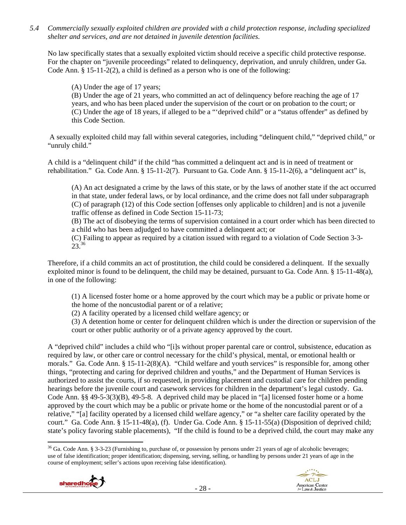*5.4 Commercially sexually exploited children are provided with a child protection response, including specialized shelter and services, and are not detained in juvenile detention facilities.* 

No law specifically states that a sexually exploited victim should receive a specific child protective response. For the chapter on "juvenile proceedings" related to delinquency, deprivation, and unruly children, under Ga. Code Ann. § 15-11-2(2), a child is defined as a person who is one of the following:

(A) Under the age of 17 years;

(B) Under the age of 21 years, who committed an act of delinquency before reaching the age of 17 years, and who has been placed under the supervision of the court or on probation to the court; or (C) Under the age of 18 years, if alleged to be a "'deprived child" or a "status offender" as defined by this Code Section.

 A sexually exploited child may fall within several categories, including "delinquent child," "deprived child," or "unruly child."

A child is a "delinquent child" if the child "has committed a delinquent act and is in need of treatment or rehabilitation." Ga. Code Ann. § 15-11-2(7). Pursuant to Ga. Code Ann. § 15-11-2(6), a "delinquent act" is,

(A) An act designated a crime by the laws of this state, or by the laws of another state if the act occurred in that state, under federal laws, or by local ordinance, and the crime does not fall under subparagraph (C) of paragraph (12) of this Code section [offenses only applicable to children] and is not a juvenile traffic offense as defined in Code Section 15-11-73;

(B) The act of disobeying the terms of supervision contained in a court order which has been directed to a child who has been adjudged to have committed a delinquent act; or

(C) Failing to appear as required by a citation issued with regard to a violation of Code Section 3-3- 23.36

Therefore, if a child commits an act of prostitution, the child could be considered a delinquent. If the sexually exploited minor is found to be delinquent, the child may be detained, pursuant to Ga. Code Ann. § 15-11-48(a), in one of the following:

(1) A licensed foster home or a home approved by the court which may be a public or private home or the home of the noncustodial parent or of a relative;

(2) A facility operated by a licensed child welfare agency; or

(3) A detention home or center for delinquent children which is under the direction or supervision of the court or other public authority or of a private agency approved by the court.

A "deprived child" includes a child who "[i]s without proper parental care or control, subsistence, education as required by law, or other care or control necessary for the child's physical, mental, or emotional health or morals." Ga. Code Ann. § 15-11-2(8)(A). "Child welfare and youth services" is responsible for, among other things, "protecting and caring for deprived children and youths," and the Department of Human Services is authorized to assist the courts, if so requested, in providing placement and custodial care for children pending hearings before the juvenile court and casework services for children in the department's legal custody. Ga. Code Ann. §§ 49-5-3(3)(B), 49-5-8. A deprived child may be placed in "[a] licensed foster home or a home approved by the court which may be a public or private home or the home of the noncustodial parent or of a relative," "[a] facility operated by a licensed child welfare agency," or "a shelter care facility operated by the court." Ga. Code Ann. § 15-11-48(a), (f). Under Ga. Code Ann. § 15-11-55(a) (Disposition of deprived child; state's policy favoring stable placements), "If the child is found to be a deprived child, the court may make any

 $36$  Ga. Code Ann. § 3-3-23 (Furnishing to, purchase of, or possession by persons under 21 years of age of alcoholic beverages; use of false identification; proper identification; dispensing, serving, selling, or handling by persons under 21 years of age in the course of employment; seller's actions upon receiving false identification).

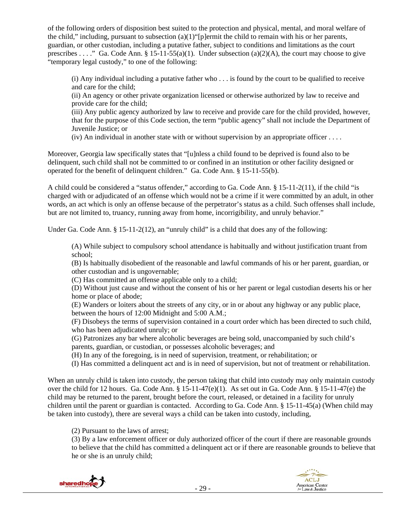of the following orders of disposition best suited to the protection and physical, mental, and moral welfare of the child," including, pursuant to subsection (a)(1)"[p]ermit the child to remain with his or her parents, guardian, or other custodian, including a putative father, subject to conditions and limitations as the court prescribes . . . ." Ga. Code Ann. § 15-11-55(a)(1). Under subsection (a)(2)(A), the court may choose to give "temporary legal custody," to one of the following:

(i) Any individual including a putative father who . . . is found by the court to be qualified to receive and care for the child;

(ii) An agency or other private organization licensed or otherwise authorized by law to receive and provide care for the child;

(iii) Any public agency authorized by law to receive and provide care for the child provided, however, that for the purpose of this Code section, the term "public agency" shall not include the Department of Juvenile Justice; or

 $(iv)$  An individual in another state with or without supervision by an appropriate officer  $\dots$ .

Moreover, Georgia law specifically states that "[u]nless a child found to be deprived is found also to be delinquent, such child shall not be committed to or confined in an institution or other facility designed or operated for the benefit of delinquent children." Ga. Code Ann. § 15-11-55(b).

A child could be considered a "status offender," according to Ga. Code Ann. § 15-11-2(11), if the child "is charged with or adjudicated of an offense which would not be a crime if it were committed by an adult, in other words, an act which is only an offense because of the perpetrator's status as a child. Such offenses shall include, but are not limited to, truancy, running away from home, incorrigibility, and unruly behavior."

Under Ga. Code Ann. § 15-11-2(12), an "unruly child" is a child that does any of the following:

(A) While subject to compulsory school attendance is habitually and without justification truant from school;

(B) Is habitually disobedient of the reasonable and lawful commands of his or her parent, guardian, or other custodian and is ungovernable;

(C) Has committed an offense applicable only to a child;

(D) Without just cause and without the consent of his or her parent or legal custodian deserts his or her home or place of abode;

(E) Wanders or loiters about the streets of any city, or in or about any highway or any public place, between the hours of 12:00 Midnight and 5:00 A.M.;

(F) Disobeys the terms of supervision contained in a court order which has been directed to such child, who has been adjudicated unruly; or

(G) Patronizes any bar where alcoholic beverages are being sold, unaccompanied by such child's parents, guardian, or custodian, or possesses alcoholic beverages; and

(H) In any of the foregoing, is in need of supervision, treatment, or rehabilitation; or

(I) Has committed a delinquent act and is in need of supervision, but not of treatment or rehabilitation.

When an unruly child is taken into custody, the person taking that child into custody may only maintain custody over the child for 12 hours. Ga. Code Ann. § 15-11-47(e)(1). As set out in Ga. Code Ann. § 15-11-47(e) the child may be returned to the parent, brought before the court, released, or detained in a facility for unruly children until the parent or guardian is contacted. According to Ga. Code Ann. § 15-11-45(a) (When child may be taken into custody), there are several ways a child can be taken into custody, including,

(2) Pursuant to the laws of arrest;

(3) By a law enforcement officer or duly authorized officer of the court if there are reasonable grounds to believe that the child has committed a delinquent act or if there are reasonable grounds to believe that he or she is an unruly child;



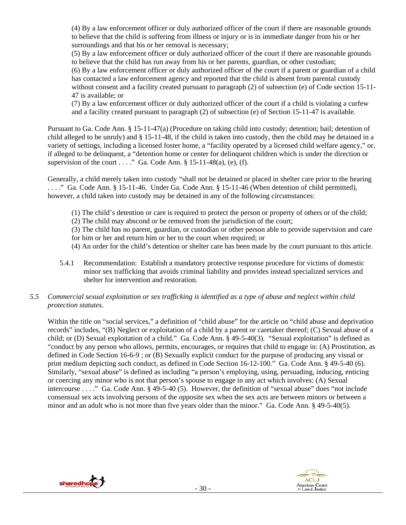(4) By a law enforcement officer or duly authorized officer of the court if there are reasonable grounds to believe that the child is suffering from illness or injury or is in immediate danger from his or her surroundings and that his or her removal is necessary;

(5) By a law enforcement officer or duly authorized officer of the court if there are reasonable grounds to believe that the child has run away from his or her parents, guardian, or other custodian;

(6) By a law enforcement officer or duly authorized officer of the court if a parent or guardian of a child has contacted a law enforcement agency and reported that the child is absent from parental custody without consent and a facility created pursuant to paragraph (2) of subsection (e) of Code section 15-11-47 is available; or

(7) By a law enforcement officer or duly authorized officer of the court if a child is violating a curfew and a facility created pursuant to paragraph (2) of subsection (e) of Section 15-11-47 is available.

Pursuant to Ga. Code Ann. § 15-11-47(a) (Procedure on taking child into custody; detention; bail; detention of child alleged to be unruly) and § 15-11-48, if the child is taken into custody, then the child may be detained in a variety of settings, including a licensed foster home, a "facility operated by a licensed child welfare agency," or, if alleged to be delinquent, a "detention home or center for delinquent children which is under the direction or supervision of the court  $\dots$ ." Ga. Code Ann. § 15-11-48(a), (e), (f).

Generally, a child merely taken into custody "shall not be detained or placed in shelter care prior to the hearing . . . ." Ga. Code Ann. § 15-11-46. Under Ga. Code Ann. § 15-11-46 (When detention of child permitted), however, a child taken into custody may be detained in any of the following circumstances:

- (1) The child's detention or care is required to protect the person or property of others or of the child;
- (2) The child may abscond or be removed from the jurisdiction of the court;
- (3) The child has no parent, guardian, or custodian or other person able to provide supervision and care
- for him or her and return him or her to the court when required; or
- (4) An order for the child's detention or shelter care has been made by the court pursuant to this article.
- 5.4.1 Recommendation: Establish a mandatory protective response procedure for victims of domestic minor sex trafficking that avoids criminal liability and provides instead specialized services and shelter for intervention and restoration.

# *5.5 Commercial sexual exploitation or sex trafficking is identified as a type of abuse and neglect within child protection statutes.*

Within the title on "social services," a definition of "child abuse" for the article on "child abuse and deprivation records" includes, "(B) Neglect or exploitation of a child by a parent or caretaker thereof; (C) Sexual abuse of a child; or (D) Sexual exploitation of a child." Ga. Code Ann. § 49-5-40(3). "Sexual exploitation" is defined as "conduct by any person who allows, permits, encourages, or requires that child to engage in: (A) Prostitution, as defined in Code Section 16-6-9 ; or (B) Sexually explicit conduct for the purpose of producing any visual or print medium depicting such conduct, as defined in Code Section 16-12-100." Ga. Code Ann. § 49-5-40 (6). Similarly, "sexual abuse" is defined as including "a person's employing, using, persuading, inducing, enticing or coercing any minor who is not that person's spouse to engage in any act which involves: (A) Sexual intercourse . . . ." Ga. Code Ann. § 49-5-40 (5). However, the definition of "sexual abuse" does "not include consensual sex acts involving persons of the opposite sex when the sex acts are between minors or between a minor and an adult who is not more than five years older than the minor." Ga. Code Ann. § 49-5-40(5).



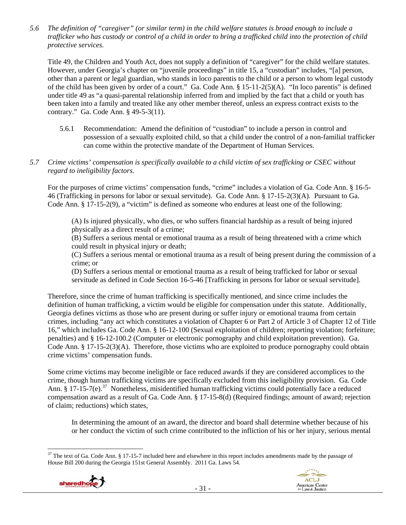*5.6 The definition of "caregiver" (or similar term) in the child welfare statutes is broad enough to include a trafficker who has custody or control of a child in order to bring a trafficked child into the protection of child protective services.* 

Title 49, the Children and Youth Act, does not supply a definition of "caregiver" for the child welfare statutes. However, under Georgia's chapter on "juvenile proceedings" in title 15, a "custodian" includes, "[a] person, other than a parent or legal guardian, who stands in loco parentis to the child or a person to whom legal custody of the child has been given by order of a court." Ga. Code Ann. § 15-11-2(5)(A). "In loco parentis" is defined under title 49 as "a quasi-parental relationship inferred from and implied by the fact that a child or youth has been taken into a family and treated like any other member thereof, unless an express contract exists to the contrary." Ga. Code Ann. § 49-5-3(11).

- 5.6.1 Recommendation: Amend the definition of "custodian" to include a person in control and possession of a sexually exploited child, so that a child under the control of a non-familial trafficker can come within the protective mandate of the Department of Human Services.
- *5.7 Crime victims' compensation is specifically available to a child victim of sex trafficking or CSEC without regard to ineligibility factors.*

For the purposes of crime victims' compensation funds, "crime" includes a violation of Ga. Code Ann. § 16-5- 46 (Trafficking in persons for labor or sexual servitude). Ga. Code Ann. § 17-15-2(3)(A). Pursuant to Ga. Code Ann. § 17-15-2(9), a "victim" is defined as someone who endures at least one of the following:

(A) Is injured physically, who dies, or who suffers financial hardship as a result of being injured physically as a direct result of a crime;

(B) Suffers a serious mental or emotional trauma as a result of being threatened with a crime which could result in physical injury or death;

(C) Suffers a serious mental or emotional trauma as a result of being present during the commission of a crime; or

(D) Suffers a serious mental or emotional trauma as a result of being trafficked for labor or sexual servitude as defined in Code Section 16-5-46 [Trafficking in persons for labor or sexual servitude].

Therefore, since the crime of human trafficking is specifically mentioned, and since crime includes the definition of human trafficking, a victim would be eligible for compensation under this statute. Additionally, Georgia defines victims as those who are present during or suffer injury or emotional trauma from certain crimes, including "any act which constitutes a violation of Chapter 6 or Part 2 of Article 3 of Chapter 12 of Title 16," which includes Ga. Code Ann. § 16-12-100 (Sexual exploitation of children; reporting violation; forfeiture; penalties) and § 16-12-100.2 (Computer or electronic pornography and child exploitation prevention). Ga. Code Ann. § 17-15-2(3)(A). Therefore, those victims who are exploited to produce pornography could obtain crime victims' compensation funds.

Some crime victims may become ineligible or face reduced awards if they are considered accomplices to the crime, though human trafficking victims are specifically excluded from this ineligibility provision. Ga. Code Ann. § 17-15-7(e).<sup>37</sup> Nonetheless, misidentified human trafficking victims could potentially face a reduced compensation award as a result of Ga. Code Ann. § 17-15-8(d) (Required findings; amount of award; rejection of claim; reductions) which states,

In determining the amount of an award, the director and board shall determine whether because of his or her conduct the victim of such crime contributed to the infliction of his or her injury, serious mental

 $37$  The text of Ga. Code Ann. § 17-15-7 included here and elsewhere in this report includes amendments made by the passage of House Bill 200 during the Georgia 151st General Assembly. 2011 Ga. Laws 54.

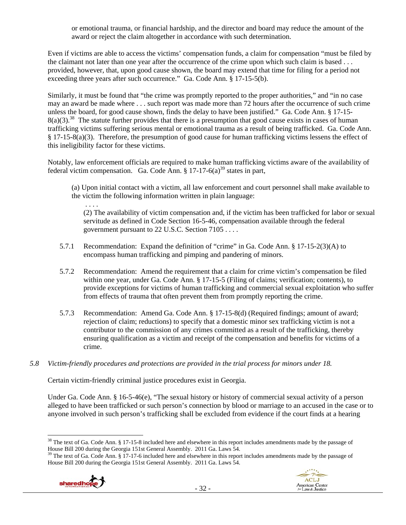or emotional trauma, or financial hardship, and the director and board may reduce the amount of the award or reject the claim altogether in accordance with such determination.

Even if victims are able to access the victims' compensation funds, a claim for compensation "must be filed by the claimant not later than one year after the occurrence of the crime upon which such claim is based . . . provided, however, that, upon good cause shown, the board may extend that time for filing for a period not exceeding three years after such occurrence." Ga. Code Ann. § 17-15-5(b).

Similarly, it must be found that "the crime was promptly reported to the proper authorities," and "in no case may an award be made where . . . such report was made more than 72 hours after the occurrence of such crime unless the board, for good cause shown, finds the delay to have been justified." Ga. Code Ann. § 17-15-  $8(a)(3)$ <sup>38</sup>. The statute further provides that there is a presumption that good cause exists in cases of human trafficking victims suffering serious mental or emotional trauma as a result of being trafficked. Ga. Code Ann. § 17-15-8(a)(3). Therefore, the presumption of good cause for human trafficking victims lessens the effect of this ineligibility factor for these victims.

Notably, law enforcement officials are required to make human trafficking victims aware of the availability of federal victim compensation. Ga. Code Ann.  $\S 17-17-6(a)^{39}$  states in part,

(a) Upon initial contact with a victim, all law enforcement and court personnel shall make available to the victim the following information written in plain language:

 . . . . (2) The availability of victim compensation and, if the victim has been trafficked for labor or sexual servitude as defined in Code Section 16-5-46, compensation available through the federal government pursuant to 22 U.S.C. Section 7105 . . . .

- 5.7.1 Recommendation: Expand the definition of "crime" in Ga. Code Ann. § 17-15-2(3)(A) to encompass human trafficking and pimping and pandering of minors.
- 5.7.2 Recommendation: Amend the requirement that a claim for crime victim's compensation be filed within one year, under Ga. Code Ann. § 17-15-5 (Filing of claims; verification; contents), to provide exceptions for victims of human trafficking and commercial sexual exploitation who suffer from effects of trauma that often prevent them from promptly reporting the crime.
- 5.7.3 Recommendation: Amend Ga. Code Ann. § 17-15-8(d) (Required findings; amount of award; rejection of claim; reductions) to specify that a domestic minor sex trafficking victim is not a contributor to the commission of any crimes committed as a result of the trafficking, thereby ensuring qualification as a victim and receipt of the compensation and benefits for victims of a crime.
- *5.8 Victim-friendly procedures and protections are provided in the trial process for minors under 18.*

Certain victim-friendly criminal justice procedures exist in Georgia.

Under Ga. Code Ann. § 16-5-46(e), "The sexual history or history of commercial sexual activity of a person alleged to have been trafficked or such person's connection by blood or marriage to an accused in the case or to anyone involved in such person's trafficking shall be excluded from evidence if the court finds at a hearing

House Bill 200 during the Georgia 151st General Assembly. 2011 Ga. Laws 54.





  $38$  The text of Ga. Code Ann. § 17-15-8 included here and elsewhere in this report includes amendments made by the passage of House Bill 200 during the Georgia 151st General Assembly. 2011 Ga. Laws 54.<br><sup>39</sup> The text of Ga. Code Ann. § 17-17-6 included here and elsewhere in this report includes amendments made by the passage of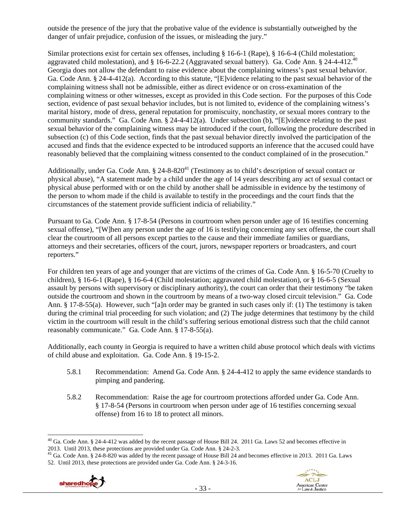outside the presence of the jury that the probative value of the evidence is substantially outweighed by the danger of unfair prejudice, confusion of the issues, or misleading the jury."

Similar protections exist for certain sex offenses, including § 16-6-1 (Rape), § 16-6-4 (Child molestation; aggravated child molestation), and § 16-6-22.2 (Aggravated sexual battery). Ga. Code Ann. § 24-4-412.40 Georgia does not allow the defendant to raise evidence about the complaining witness's past sexual behavior. Ga. Code Ann. § 24-4-412(a). According to this statute, "[E]vidence relating to the past sexual behavior of the complaining witness shall not be admissible, either as direct evidence or on cross-examination of the complaining witness or other witnesses, except as provided in this Code section. For the purposes of this Code section, evidence of past sexual behavior includes, but is not limited to, evidence of the complaining witness's marital history, mode of dress, general reputation for promiscuity, nonchastity, or sexual mores contrary to the community standards." Ga. Code Ann. § 24-4-412(a). Under subsection (b), "[E]vidence relating to the past sexual behavior of the complaining witness may be introduced if the court, following the procedure described in subsection (c) of this Code section, finds that the past sexual behavior directly involved the participation of the accused and finds that the evidence expected to be introduced supports an inference that the accused could have reasonably believed that the complaining witness consented to the conduct complained of in the prosecution."

Additionally, under Ga. Code Ann.  $\S 24-8-820<sup>41</sup>$  (Testimony as to child's description of sexual contact or physical abuse), "A statement made by a child under the age of 14 years describing any act of sexual contact or physical abuse performed with or on the child by another shall be admissible in evidence by the testimony of the person to whom made if the child is available to testify in the proceedings and the court finds that the circumstances of the statement provide sufficient indicia of reliability."

Pursuant to Ga. Code Ann. § 17-8-54 (Persons in courtroom when person under age of 16 testifies concerning sexual offense), "[W]hen any person under the age of 16 is testifying concerning any sex offense, the court shall clear the courtroom of all persons except parties to the cause and their immediate families or guardians, attorneys and their secretaries, officers of the court, jurors, newspaper reporters or broadcasters, and court reporters."

For children ten years of age and younger that are victims of the crimes of Ga. Code Ann. § 16-5-70 (Cruelty to children), § 16-6-1 (Rape), § 16-6-4 (Child molestation; aggravated child molestation), or § 16-6-5 (Sexual assault by persons with supervisory or disciplinary authority), the court can order that their testimony "be taken outside the courtroom and shown in the courtroom by means of a two-way closed circuit television." Ga. Code Ann. § 17-8-55(a). However, such "[a]n order may be granted in such cases only if: (1) The testimony is taken during the criminal trial proceeding for such violation; and (2) The judge determines that testimony by the child victim in the courtroom will result in the child's suffering serious emotional distress such that the child cannot reasonably communicate." Ga. Code Ann. § 17-8-55(a).

Additionally, each county in Georgia is required to have a written child abuse protocol which deals with victims of child abuse and exploitation. Ga. Code Ann. § 19-15-2.

- 5.8.1 Recommendation: Amend Ga. Code Ann. § 24-4-412 to apply the same evidence standards to pimping and pandering.
- 5.8.2 Recommendation: Raise the age for courtroom protections afforded under Ga. Code Ann. § 17-8-54 (Persons in courtroom when person under age of 16 testifies concerning sexual offense) from 16 to 18 to protect all minors.

<sup>&</sup>lt;sup>41</sup> Ga. Code Ann. § 24-8-820 was added by the recent passage of House Bill 24 and becomes effective in 2013. 2011 Ga. Laws 52. Until 2013, these protections are provided under Ga. Code Ann. § 24-3-16.





 $^{40}$  Ga. Code Ann. § 24-4-412 was added by the recent passage of House Bill 24. 2011 Ga. Laws 52 and becomes effective in 2013. Until 2013, these protections are provided under Ga. Code Ann. § 24-2-3.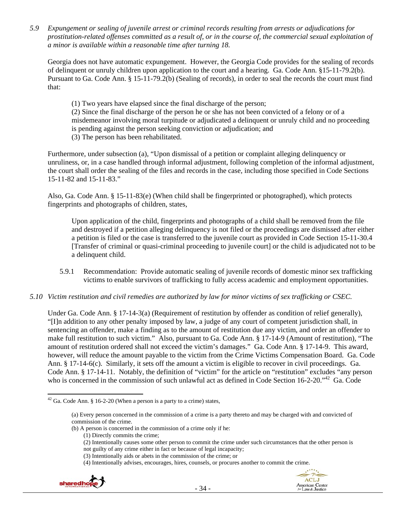*5.9 Expungement or sealing of juvenile arrest or criminal records resulting from arrests or adjudications for prostitution-related offenses committed as a result of, or in the course of, the commercial sexual exploitation of a minor is available within a reasonable time after turning 18.* 

Georgia does not have automatic expungement. However, the Georgia Code provides for the sealing of records of delinquent or unruly children upon application to the court and a hearing. Ga. Code Ann. §15-11-79.2(b). Pursuant to Ga. Code Ann. § 15-11-79.2(b) (Sealing of records), in order to seal the records the court must find that:

(1) Two years have elapsed since the final discharge of the person;

(2) Since the final discharge of the person he or she has not been convicted of a felony or of a misdemeanor involving moral turpitude or adjudicated a delinquent or unruly child and no proceeding is pending against the person seeking conviction or adjudication; and

(3) The person has been rehabilitated.

Furthermore, under subsection (a), "Upon dismissal of a petition or complaint alleging delinquency or unruliness, or, in a case handled through informal adjustment, following completion of the informal adjustment, the court shall order the sealing of the files and records in the case, including those specified in Code Sections 15-11-82 and 15-11-83."

Also, Ga. Code Ann. § 15-11-83(e) (When child shall be fingerprinted or photographed), which protects fingerprints and photographs of children, states,

Upon application of the child, fingerprints and photographs of a child shall be removed from the file and destroyed if a petition alleging delinquency is not filed or the proceedings are dismissed after either a petition is filed or the case is transferred to the juvenile court as provided in Code Section 15-11-30.4 [Transfer of criminal or quasi-criminal proceeding to juvenile court] or the child is adjudicated not to be a delinquent child.

- 5.9.1 Recommendation: Provide automatic sealing of juvenile records of domestic minor sex trafficking victims to enable survivors of trafficking to fully access academic and employment opportunities.
- *5.10 Victim restitution and civil remedies are authorized by law for minor victims of sex trafficking or CSEC.*

Under Ga. Code Ann. § 17-14-3(a) (Requirement of restitution by offender as condition of relief generally), "[I]n addition to any other penalty imposed by law, a judge of any court of competent jurisdiction shall, in sentencing an offender, make a finding as to the amount of restitution due any victim, and order an offender to make full restitution to such victim." Also, pursuant to Ga. Code Ann. § 17-14-9 (Amount of restitution), "The amount of restitution ordered shall not exceed the victim's damages." Ga. Code Ann. § 17-14-9. This award, however, will reduce the amount payable to the victim from the Crime Victims Compensation Board. Ga. Code Ann. § 17-14-6(c). Similarly, it sets off the amount a victim is eligible to recover in civil proceedings. Ga. Code Ann. § 17-14-11. Notably, the definition of "victim" for the article on "restitution" excludes "any person who is concerned in the commission of such unlawful act as defined in Code Section 16-2-20."<sup>42</sup> Ga. Code

<sup>(4)</sup> Intentionally advises, encourages, hires, counsels, or procures another to commit the crime.





 $42$  Ga. Code Ann. § 16-2-20 (When a person is a party to a crime) states,

<sup>(</sup>a) Every person concerned in the commission of a crime is a party thereto and may be charged with and convicted of commission of the crime.

<sup>(</sup>b) A person is concerned in the commission of a crime only if he:

<sup>(1)</sup> Directly commits the crime;

<sup>(2)</sup> Intentionally causes some other person to commit the crime under such circumstances that the other person is

not guilty of any crime either in fact or because of legal incapacity;

<sup>(3)</sup> Intentionally aids or abets in the commission of the crime; or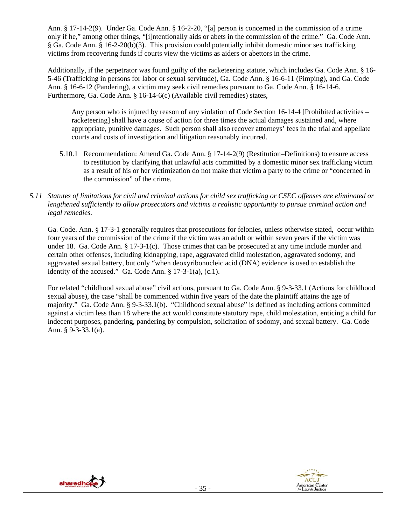Ann. § 17-14-2(9). Under Ga. Code Ann. § 16-2-20, "[a] person is concerned in the commission of a crime only if he," among other things, "[i]ntentionally aids or abets in the commission of the crime." Ga. Code Ann. § Ga. Code Ann. § 16-2-20(b)(3). This provision could potentially inhibit domestic minor sex trafficking victims from recovering funds if courts view the victims as aiders or abettors in the crime.

Additionally, if the perpetrator was found guilty of the racketeering statute, which includes Ga. Code Ann. § 16- 5-46 (Trafficking in persons for labor or sexual servitude), Ga. Code Ann. § 16-6-11 (Pimping), and Ga. Code Ann. § 16-6-12 (Pandering), a victim may seek civil remedies pursuant to Ga. Code Ann. § 16-14-6. Furthermore, Ga. Code Ann. § 16-14-6(c) (Available civil remedies) states,

Any person who is injured by reason of any violation of Code Section 16-14-4 [Prohibited activities – racketeering] shall have a cause of action for three times the actual damages sustained and, where appropriate, punitive damages. Such person shall also recover attorneys' fees in the trial and appellate courts and costs of investigation and litigation reasonably incurred.

- 5.10.1 Recommendation: Amend Ga. Code Ann. § 17-14-2(9) (Restitution–Definitions) to ensure access to restitution by clarifying that unlawful acts committed by a domestic minor sex trafficking victim as a result of his or her victimization do not make that victim a party to the crime or "concerned in the commission" of the crime.
- *5.11 Statutes of limitations for civil and criminal actions for child sex trafficking or CSEC offenses are eliminated or lengthened sufficiently to allow prosecutors and victims a realistic opportunity to pursue criminal action and legal remedies.*

Ga. Code. Ann. § 17-3-1 generally requires that prosecutions for felonies, unless otherwise stated, occur within four years of the commission of the crime if the victim was an adult or within seven years if the victim was under 18. Ga. Code Ann. § 17-3-1(c). Those crimes that can be prosecuted at any time include murder and certain other offenses, including kidnapping, rape, aggravated child molestation, aggravated sodomy, and aggravated sexual battery, but only "when deoxyribonucleic acid (DNA) evidence is used to establish the identity of the accused." Ga. Code Ann.  $\S 17-3-1$ (a), (c.1).

For related "childhood sexual abuse" civil actions, pursuant to Ga. Code Ann. § 9-3-33.1 (Actions for childhood sexual abuse), the case "shall be commenced within five years of the date the plaintiff attains the age of majority." Ga. Code Ann. § 9-3-33.1(b). "Childhood sexual abuse" is defined as including actions committed against a victim less than 18 where the act would constitute statutory rape, child molestation, enticing a child for indecent purposes, pandering, pandering by compulsion, solicitation of sodomy, and sexual battery. Ga. Code Ann. § 9-3-33.1(a).



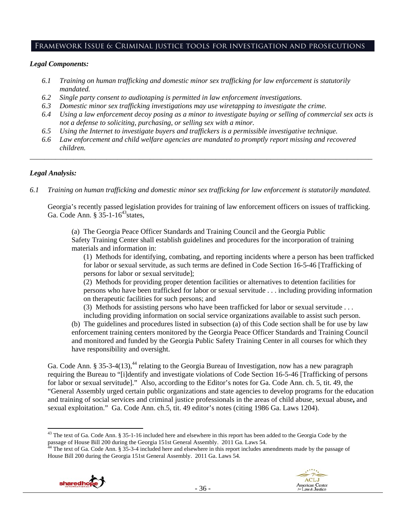## Framework Issue 6: Criminal justice tools for investigation and prosecutions

#### *Legal Components:*

- *6.1 Training on human trafficking and domestic minor sex trafficking for law enforcement is statutorily mandated.*
- *6.2 Single party consent to audiotaping is permitted in law enforcement investigations.*
- *6.3 Domestic minor sex trafficking investigations may use wiretapping to investigate the crime.*
- *6.4 Using a law enforcement decoy posing as a minor to investigate buying or selling of commercial sex acts is not a defense to soliciting, purchasing, or selling sex with a minor.*
- *6.5 Using the Internet to investigate buyers and traffickers is a permissible investigative technique.*
- *6.6 Law enforcement and child welfare agencies are mandated to promptly report missing and recovered children.*

*\_\_\_\_\_\_\_\_\_\_\_\_\_\_\_\_\_\_\_\_\_\_\_\_\_\_\_\_\_\_\_\_\_\_\_\_\_\_\_\_\_\_\_\_\_\_\_\_\_\_\_\_\_\_\_\_\_\_\_\_\_\_\_\_\_\_\_\_\_\_\_\_\_\_\_\_\_\_\_\_\_\_\_\_\_\_\_\_\_\_\_\_\_\_* 

#### *Legal Analysis:*

*6.1 Training on human trafficking and domestic minor sex trafficking for law enforcement is statutorily mandated.*

Georgia's recently passed legislation provides for training of law enforcement officers on issues of trafficking. Ga. Code Ann.  $\S 35$ -1-16<sup>43</sup> states,

(a) The Georgia Peace Officer Standards and Training Council and the Georgia Public Safety Training Center shall establish guidelines and procedures for the incorporation of training materials and information in:

(1) Methods for identifying, combating, and reporting incidents where a person has been trafficked for labor or sexual servitude, as such terms are defined in Code Section 16-5-46 [Trafficking of persons for labor or sexual servitude];

(2) Methods for providing proper detention facilities or alternatives to detention facilities for persons who have been trafficked for labor or sexual servitude . . . including providing information on therapeutic facilities for such persons; and

(3) Methods for assisting persons who have been trafficked for labor or sexual servitude . . .

including providing information on social service organizations available to assist such person. (b) The guidelines and procedures listed in subsection (a) of this Code section shall be for use by law enforcement training centers monitored by the Georgia Peace Officer Standards and Training Council and monitored and funded by the Georgia Public Safety Training Center in all courses for which they have responsibility and oversight.

Ga. Code Ann. § 35-3-4(13),<sup>44</sup> relating to the Georgia Bureau of Investigation, now has a new paragraph requiring the Bureau to "[i]dentify and investigate violations of Code Section 16-5-46 [Trafficking of persons for labor or sexual servitude]." Also, according to the Editor's notes for Ga. Code Ann. ch. 5, tit. 49, the "General Assembly urged certain public organizations and state agencies to develop programs for the education and training of social services and criminal justice professionals in the areas of child abuse, sexual abuse**,** and sexual exploitation." Ga. Code Ann. ch.5, tit. 49 editor's notes (citing 1986 Ga. Laws 1204).

House Bill 200 during the Georgia 151st General Assembly. 2011 Ga. Laws 54.





 <sup>43</sup> The text of Ga. Code Ann. § 35-1-16 included here and elsewhere in this report has been added to the Georgia Code by the passage of House Bill 200 during the Georgia 151st General Assembly. 2011 Ga. Laws 54.<br><sup>44</sup> The text of Ga. Code Ann. § 35-3-4 included here and elsewhere in this report includes amendments made by the passage of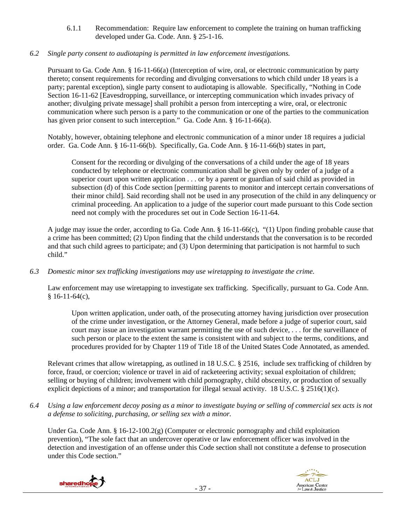6.1.1 Recommendation: Require law enforcement to complete the training on human trafficking developed under Ga. Code. Ann. § 25-1-16.

# *6.2 Single party consent to audiotaping is permitted in law enforcement investigations.*

Pursuant to Ga. Code Ann. § 16-11-66(a) (Interception of wire, oral, or electronic communication by party thereto; consent requirements for recording and divulging conversations to which child under 18 years is a party; parental exception), single party consent to audiotaping is allowable. Specifically, "Nothing in Code Section 16-11-62 [Eavesdropping, surveillance, or intercepting communication which invades privacy of another; divulging private message] shall prohibit a person from intercepting a wire, oral, or electronic communication where such person is a party to the communication or one of the parties to the communication has given prior consent to such interception." Ga. Code Ann. § 16-11-66(a).

Notably, however, obtaining telephone and electronic communication of a minor under 18 requires a judicial order. Ga. Code Ann. § 16-11-66(b). Specifically, Ga. Code Ann. § 16-11-66(b) states in part,

Consent for the recording or divulging of the conversations of a child under the age of 18 years conducted by telephone or electronic communication shall be given only by order of a judge of a superior court upon written application . . . or by a parent or guardian of said child as provided in subsection (d) of this Code section [permitting parents to monitor and intercept certain conversations of their minor child]. Said recording shall not be used in any prosecution of the child in any delinquency or criminal proceeding. An application to a judge of the superior court made pursuant to this Code section need not comply with the procedures set out in Code Section 16-11-64.

A judge may issue the order, according to Ga. Code Ann. § 16-11-66(c), "(1) Upon finding probable cause that a crime has been committed; (2) Upon finding that the child understands that the conversation is to be recorded and that such child agrees to participate; and (3) Upon determining that participation is not harmful to such child."

*6.3 Domestic minor sex trafficking investigations may use wiretapping to investigate the crime.* 

Law enforcement may use wiretapping to investigate sex trafficking. Specifically, pursuant to Ga. Code Ann.  $$16-11-64(c),$ 

Upon written application, under oath, of the prosecuting attorney having jurisdiction over prosecution of the crime under investigation, or the Attorney General, made before a judge of superior court, said court may issue an investigation warrant permitting the use of such device, . . . for the surveillance of such person or place to the extent the same is consistent with and subject to the terms, conditions, and procedures provided for by Chapter 119 of Title 18 of the United States Code Annotated, as amended.

Relevant crimes that allow wiretapping, as outlined in 18 U.S.C. § 2516, include sex trafficking of children by force, fraud, or coercion; violence or travel in aid of racketeering activity; sexual exploitation of children; selling or buying of children; involvement with child pornography, child obscenity, or production of sexually explicit depictions of a minor; and transportation for illegal sexual activity. 18 U.S.C. § 2516(1)(c).

*6.4 Using a law enforcement decoy posing as a minor to investigate buying or selling of commercial sex acts is not a defense to soliciting, purchasing, or selling sex with a minor.* 

Under Ga. Code Ann. § 16-12-100.2(g) (Computer or electronic pornography and child exploitation prevention), "The sole fact that an undercover operative or law enforcement officer was involved in the detection and investigation of an offense under this Code section shall not constitute a defense to prosecution under this Code section."



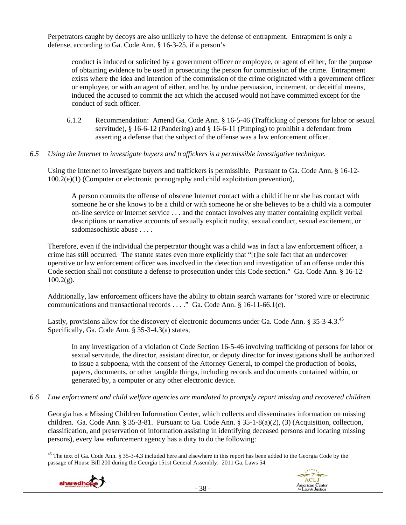Perpetrators caught by decoys are also unlikely to have the defense of entrapment. Entrapment is only a defense, according to Ga. Code Ann. § 16-3-25, if a person's

conduct is induced or solicited by a government officer or employee, or agent of either, for the purpose of obtaining evidence to be used in prosecuting the person for commission of the crime. Entrapment exists where the idea and intention of the commission of the crime originated with a government officer or employee, or with an agent of either, and he, by undue persuasion, incitement, or deceitful means, induced the accused to commit the act which the accused would not have committed except for the conduct of such officer.

6.1.2 Recommendation: Amend Ga. Code Ann. § 16-5-46 (Trafficking of persons for labor or sexual servitude), § 16-6-12 (Pandering) and § 16-6-11 (Pimping) to prohibit a defendant from asserting a defense that the subject of the offense was a law enforcement officer.

#### *6.5 Using the Internet to investigate buyers and traffickers is a permissible investigative technique.*

Using the Internet to investigate buyers and traffickers is permissible. Pursuant to Ga. Code Ann. § 16-12- 100.2(e)(1) (Computer or electronic pornography and child exploitation prevention),

A person commits the offense of obscene Internet contact with a child if he or she has contact with someone he or she knows to be a child or with someone he or she believes to be a child via a computer on-line service or Internet service . . . and the contact involves any matter containing explicit verbal descriptions or narrative accounts of sexually explicit nudity, sexual conduct, sexual excitement, or sadomasochistic abuse . . . .

Therefore, even if the individual the perpetrator thought was a child was in fact a law enforcement officer, a crime has still occurred. The statute states even more explicitly that "[t]he sole fact that an undercover operative or law enforcement officer was involved in the detection and investigation of an offense under this Code section shall not constitute a defense to prosecution under this Code section." Ga. Code Ann. § 16-12-  $100.2(g)$ .

Additionally, law enforcement officers have the ability to obtain search warrants for "stored wire or electronic communications and transactional records . . . ." Ga. Code Ann. § 16-11-66.1(c).

Lastly, provisions allow for the discovery of electronic documents under Ga. Code Ann. § 35-3-4.3.<sup>45</sup> Specifically, Ga. Code Ann. § 35-3-4.3(a) states,

In any investigation of a violation of Code Section 16-5-46 involving trafficking of persons for labor or sexual servitude, the director, assistant director, or deputy director for investigations shall be authorized to issue a subpoena, with the consent of the Attorney General, to compel the production of books, papers, documents, or other tangible things, including records and documents contained within, or generated by, a computer or any other electronic device.

*6.6 Law enforcement and child welfare agencies are mandated to promptly report missing and recovered children.* 

Georgia has a Missing Children Information Center, which collects and disseminates information on missing children. Ga. Code Ann. § 35-3-81. Pursuant to Ga. Code Ann. § 35-1-8(a)(2), (3) (Acquisition, collection, classification, and preservation of information assisting in identifying deceased persons and locating missing persons), every law enforcement agency has a duty to do the following:

  $45$  The text of Ga. Code Ann. § 35-3-4.3 included here and elsewhere in this report has been added to the Georgia Code by the passage of House Bill 200 during the Georgia 151st General Assembly. 2011 Ga. Laws 54.